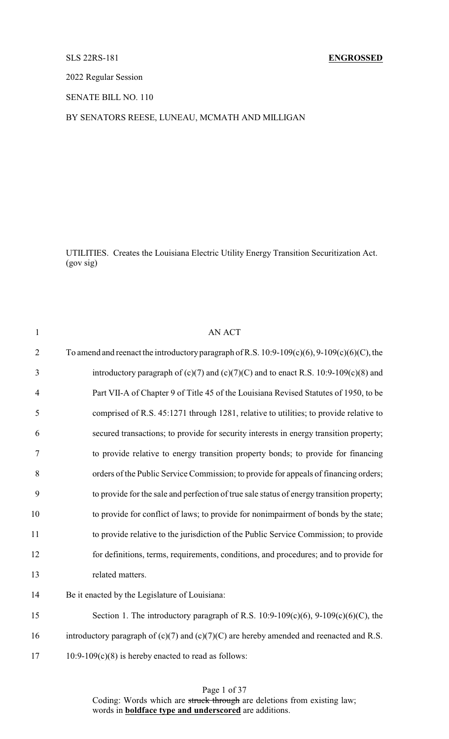# SLS 22RS-181 **ENGROSSED**

2022 Regular Session

SENATE BILL NO. 110

# BY SENATORS REESE, LUNEAU, MCMATH AND MILLIGAN

UTILITIES. Creates the Louisiana Electric Utility Energy Transition Securitization Act. (gov sig)

| $\mathbf{1}$   | <b>AN ACT</b>                                                                                     |
|----------------|---------------------------------------------------------------------------------------------------|
| $\overline{2}$ | To amend and reenact the introductory paragraph of R.S. $10:9-109(c)(6)$ , $9-109(c)(6)(C)$ , the |
| 3              | introductory paragraph of $(c)(7)$ and $(c)(7)(C)$ and to enact R.S. 10:9-109 $(c)(8)$ and        |
| $\overline{4}$ | Part VII-A of Chapter 9 of Title 45 of the Louisiana Revised Statutes of 1950, to be              |
| 5              | comprised of R.S. 45:1271 through 1281, relative to utilities; to provide relative to             |
| 6              | secured transactions; to provide for security interests in energy transition property;            |
| 7              | to provide relative to energy transition property bonds; to provide for financing                 |
| 8              | orders of the Public Service Commission; to provide for appeals of financing orders;              |
| 9              | to provide for the sale and perfection of true sale status of energy transition property;         |
| 10             | to provide for conflict of laws; to provide for nonimpairment of bonds by the state;              |
| 11             | to provide relative to the jurisdiction of the Public Service Commission; to provide              |
| 12             | for definitions, terms, requirements, conditions, and procedures; and to provide for              |
| 13             | related matters.                                                                                  |
| 14             | Be it enacted by the Legislature of Louisiana:                                                    |
| 15             | Section 1. The introductory paragraph of R.S. $10:9-109(c)(6)$ , $9-109(c)(6)(C)$ , the           |
| 16             | introductory paragraph of $(c)(7)$ and $(c)(7)(C)$ are hereby amended and reenacted and R.S.      |
| 17             | $10:9-109(c)(8)$ is hereby enacted to read as follows:                                            |
|                |                                                                                                   |

Page 1 of 37 Coding: Words which are struck through are deletions from existing law; words in **boldface type and underscored** are additions.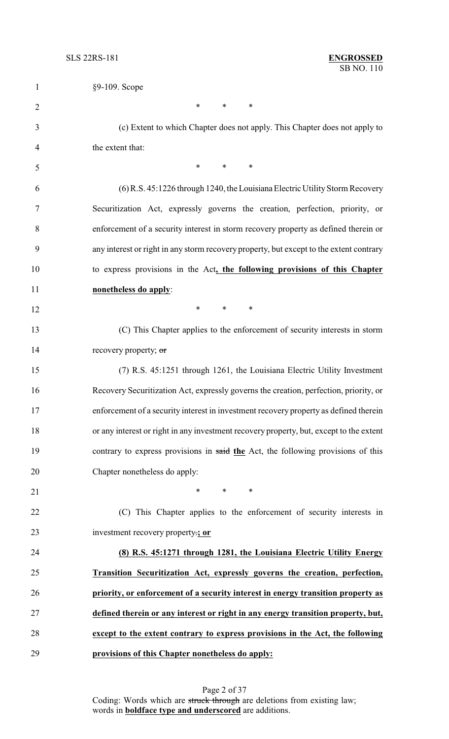| $\mathbf{1}$   | §9-109. Scope                                                                           |
|----------------|-----------------------------------------------------------------------------------------|
| $\overline{2}$ | $*$<br>$*$ and $*$<br>∗                                                                 |
| 3              | (c) Extent to which Chapter does not apply. This Chapter does not apply to              |
| 4              | the extent that:                                                                        |
| 5              | $*$<br>$*$ $*$<br>$\ast$                                                                |
| 6              | (6) R.S. 45:1226 through 1240, the Louisiana Electric Utility Storm Recovery            |
| 7              | Securitization Act, expressly governs the creation, perfection, priority, or            |
| 8              | enforcement of a security interest in storm recovery property as defined therein or     |
| 9              | any interest or right in any storm recovery property, but except to the extent contrary |
| 10             | to express provisions in the Act, the following provisions of this Chapter              |
| 11             | nonetheless do apply:                                                                   |
| 12             | $*$ $*$<br>$*$ and $*$<br>$\ast$                                                        |
| 13             | (C) This Chapter applies to the enforcement of security interests in storm              |
| 14             | recovery property; or                                                                   |
| 15             | (7) R.S. 45:1251 through 1261, the Louisiana Electric Utility Investment                |
| 16             | Recovery Securitization Act, expressly governs the creation, perfection, priority, or   |
| 17             | enforcement of a security interest in investment recovery property as defined therein   |
| 18             | or any interest or right in any investment recovery property, but, except to the extent |
| 19             | contrary to express provisions in said the Act, the following provisions of this        |
| 20             | Chapter nonetheless do apply:                                                           |
| 21             | $*$<br>$*$ and $*$<br>$\ast$                                                            |
| 22             | (C) This Chapter applies to the enforcement of security interests in                    |
| 23             | investment recovery property:; or                                                       |
| 24             | (8) R.S. 45:1271 through 1281, the Louisiana Electric Utility Energy                    |
| 25             | Transition Securitization Act, expressly governs the creation, perfection,              |
| 26             | priority, or enforcement of a security interest in energy transition property as        |
| 27             | defined therein or any interest or right in any energy transition property, but,        |
| 28             | except to the extent contrary to express provisions in the Act, the following           |
| 29             | provisions of this Chapter nonetheless do apply:                                        |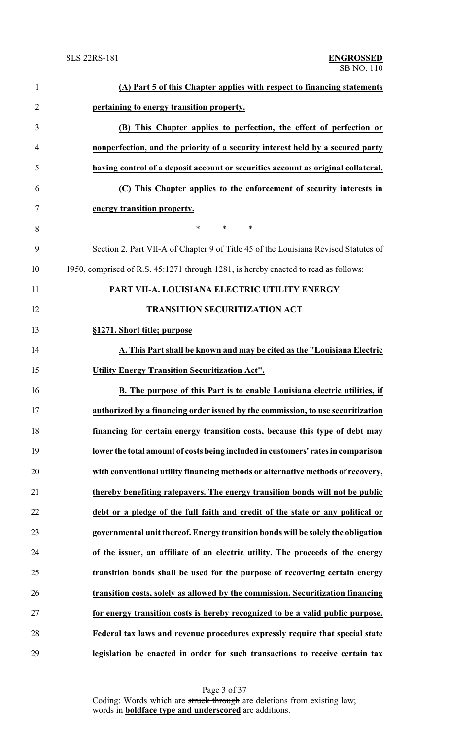| $\mathbf{1}$   | (A) Part 5 of this Chapter applies with respect to financing statements             |
|----------------|-------------------------------------------------------------------------------------|
| $\overline{2}$ | pertaining to energy transition property.                                           |
| 3              | (B) This Chapter applies to perfection, the effect of perfection or                 |
| $\overline{4}$ | nonperfection, and the priority of a security interest held by a secured party      |
| 5              | having control of a deposit account or securities account as original collateral.   |
| 6              | (C) This Chapter applies to the enforcement of security interests in                |
| 7              | energy transition property.                                                         |
| 8              | $\ast$<br>*<br>∗                                                                    |
| 9              | Section 2. Part VII-A of Chapter 9 of Title 45 of the Louisiana Revised Statutes of |
| 10             | 1950, comprised of R.S. 45:1271 through 1281, is hereby enacted to read as follows: |
| 11             | PART VII-A. LOUISIANA ELECTRIC UTILITY ENERGY                                       |
| 12             | <b>TRANSITION SECURITIZATION ACT</b>                                                |
| 13             | §1271. Short title; purpose                                                         |
| 14             | A. This Part shall be known and may be cited as the "Louisiana Electric             |
| 15             | <b>Utility Energy Transition Securitization Act".</b>                               |
| 16             | B. The purpose of this Part is to enable Louisiana electric utilities, if           |
| 17             | authorized by a financing order issued by the commission, to use securitization     |
| 18             | financing for certain energy transition costs, because this type of debt may        |
| 19             | lower the total amount of costs being included in customers' rates in comparison    |
| 20             | with conventional utility financing methods or alternative methods of recovery,     |
| 21             | thereby benefiting ratepayers. The energy transition bonds will not be public       |
| 22             | debt or a pledge of the full faith and credit of the state or any political or      |
| 23             | governmental unit thereof. Energy transition bonds will be solely the obligation    |
| 24             | of the issuer, an affiliate of an electric utility. The proceeds of the energy      |
| 25             | transition bonds shall be used for the purpose of recovering certain energy         |
| 26             | transition costs, solely as allowed by the commission. Securitization financing     |
| 27             | for energy transition costs is hereby recognized to be a valid public purpose.      |
| 28             | Federal tax laws and revenue procedures expressly require that special state        |
| 29             | legislation be enacted in order for such transactions to receive certain tax        |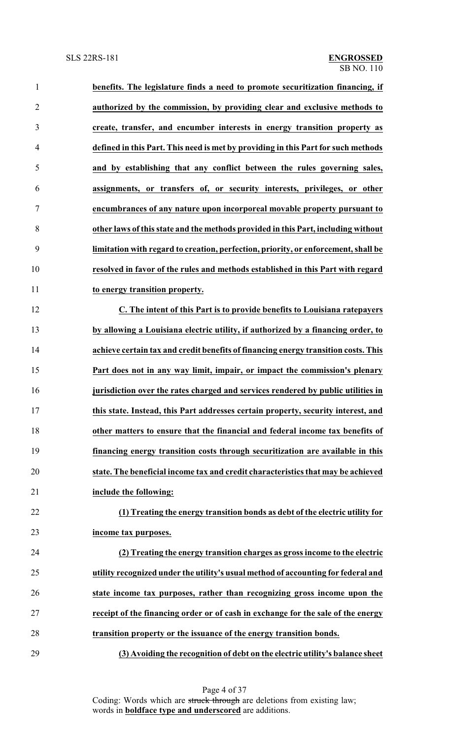| $\mathbf{1}$   | benefits. The legislature finds a need to promote securitization financing, if     |
|----------------|------------------------------------------------------------------------------------|
| $\overline{2}$ | authorized by the commission, by providing clear and exclusive methods to          |
| 3              | create, transfer, and encumber interests in energy transition property as          |
| $\overline{4}$ | defined in this Part. This need is met by providing in this Part for such methods  |
| 5              | and by establishing that any conflict between the rules governing sales,           |
| 6              | assignments, or transfers of, or security interests, privileges, or other          |
| $\tau$         | encumbrances of any nature upon incorporeal movable property pursuant to           |
| 8              | other laws of this state and the methods provided in this Part, including without  |
| 9              | limitation with regard to creation, perfection, priority, or enforcement, shall be |
| 10             | resolved in favor of the rules and methods established in this Part with regard    |
| 11             | to energy transition property.                                                     |
| 12             | C. The intent of this Part is to provide benefits to Louisiana ratepayers          |
| 13             | by allowing a Louisiana electric utility, if authorized by a financing order, to   |
| 14             | achieve certain tax and credit benefits of financing energy transition costs. This |
| 15             | Part does not in any way limit, impair, or impact the commission's plenary         |
| 16             | jurisdiction over the rates charged and services rendered by public utilities in   |
| 17             | this state. Instead, this Part addresses certain property, security interest, and  |
| 18             | other matters to ensure that the financial and federal income tax benefits of      |
| 19             | financing energy transition costs through securitization are available in this     |
| 20             | state. The beneficial income tax and credit characteristics that may be achieved   |
| 21             | include the following:                                                             |
| 22             | (1) Treating the energy transition bonds as debt of the electric utility for       |
| 23             | income tax purposes.                                                               |
| 24             | (2) Treating the energy transition charges as gross income to the electric         |
| 25             | utility recognized under the utility's usual method of accounting for federal and  |
| 26             | state income tax purposes, rather than recognizing gross income upon the           |
| 27             | receipt of the financing order or of cash in exchange for the sale of the energy   |
| 28             | transition property or the issuance of the energy transition bonds.                |
| 29             | (3) Avoiding the recognition of debt on the electric utility's balance sheet       |

Page 4 of 37 Coding: Words which are struck through are deletions from existing law; words in **boldface type and underscored** are additions.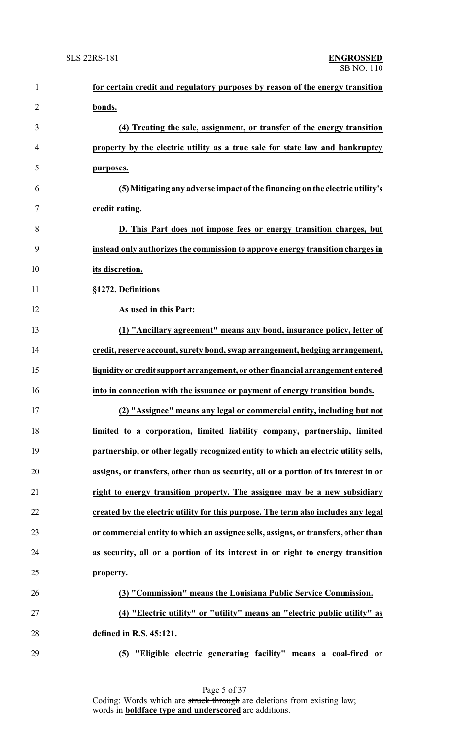| $\mathbf{1}$   | for certain credit and regulatory purposes by reason of the energy transition         |
|----------------|---------------------------------------------------------------------------------------|
| $\overline{2}$ | bonds.                                                                                |
| 3              | (4) Treating the sale, assignment, or transfer of the energy transition               |
| 4              | property by the electric utility as a true sale for state law and bankruptcy          |
| 5              | purposes.                                                                             |
| 6              | (5) Mitigating any adverse impact of the financing on the electric utility's          |
| 7              | credit rating.                                                                        |
| 8              | D. This Part does not impose fees or energy transition charges, but                   |
| 9              | instead only authorizes the commission to approve energy transition charges in        |
| 10             | its discretion.                                                                       |
| 11             | §1272. Definitions                                                                    |
| 12             | As used in this Part:                                                                 |
| 13             | (1) "Ancillary agreement" means any bond, insurance policy, letter of                 |
| 14             | credit, reserve account, surety bond, swap arrangement, hedging arrangement,          |
| 15             | liquidity or credit support arrangement, or other financial arrangement entered       |
| 16             | into in connection with the issuance or payment of energy transition bonds.           |
| 17             | (2) "Assignee" means any legal or commercial entity, including but not                |
| 18             | limited to a corporation, limited liability company, partnership, limited             |
| 19             | partnership, or other legally recognized entity to which an electric utility sells,   |
| 20             | assigns, or transfers, other than as security, all or a portion of its interest in or |
| 21             | right to energy transition property. The assignee may be a new subsidiary             |
| 22             | created by the electric utility for this purpose. The term also includes any legal    |
| 23             | or commercial entity to which an assignee sells, assigns, or transfers, other than    |
| 24             | as security, all or a portion of its interest in or right to energy transition        |
| 25             | property.                                                                             |
| 26             | (3) "Commission" means the Louisiana Public Service Commission.                       |
| 27             | (4) "Electric utility" or "utility" means an "electric public utility" as             |
| 28             | defined in R.S. 45:121.                                                               |
| 29             | (5) "Eligible electric generating facility" means a coal-fired or                     |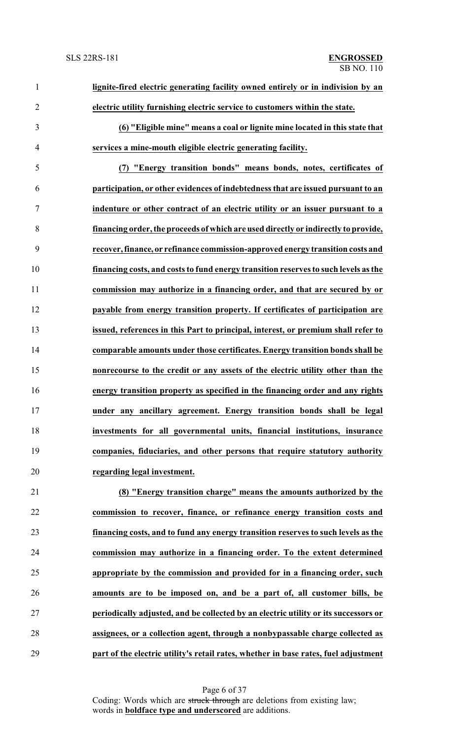| $\mathbf{1}$   | lignite-fired electric generating facility owned entirely or in indivision by an    |
|----------------|-------------------------------------------------------------------------------------|
| $\overline{2}$ | electric utility furnishing electric service to customers within the state.         |
| 3              | (6) "Eligible mine" means a coal or lignite mine located in this state that         |
| $\overline{4}$ | services a mine-mouth eligible electric generating facility.                        |
| 5              | "Energy transition bonds" means bonds, notes, certificates of<br>(7)                |
| 6              | participation, or other evidences of indebtedness that are issued pursuant to an    |
| 7              | indenture or other contract of an electric utility or an issuer pursuant to a       |
| 8              | financing order, the proceeds of which are used directly or indirectly to provide,  |
| 9              | recover, finance, or refinance commission-approved energy transition costs and      |
| 10             | financing costs, and costs to fund energy transition reserves to such levels as the |
| 11             | commission may authorize in a financing order, and that are secured by or           |
| 12             | payable from energy transition property. If certificates of participation are       |
| 13             | issued, references in this Part to principal, interest, or premium shall refer to   |
| 14             | comparable amounts under those certificates. Energy transition bonds shall be       |
| 15             | nonrecourse to the credit or any assets of the electric utility other than the      |
| 16             | energy transition property as specified in the financing order and any rights       |
| 17             | under any ancillary agreement. Energy transition bonds shall be legal               |
| 18             | investments for all governmental units, financial institutions, insurance           |
| 19             | companies, fiduciaries, and other persons that require statutory authority          |
| 20             | regarding legal investment.                                                         |
| 21             | (8) "Energy transition charge" means the amounts authorized by the                  |
| 22             | commission to recover, finance, or refinance energy transition costs and            |
| 23             | financing costs, and to fund any energy transition reserves to such levels as the   |
| 24             | commission may authorize in a financing order. To the extent determined             |
| 25             | appropriate by the commission and provided for in a financing order, such           |
| 26             | amounts are to be imposed on, and be a part of, all customer bills, be              |

 **periodically adjusted, and be collected by an electric utility or its successors or assignees, or a collection agent, through a nonbypassable charge collected as part of the electric utility's retail rates, whether in base rates, fuel adjustment**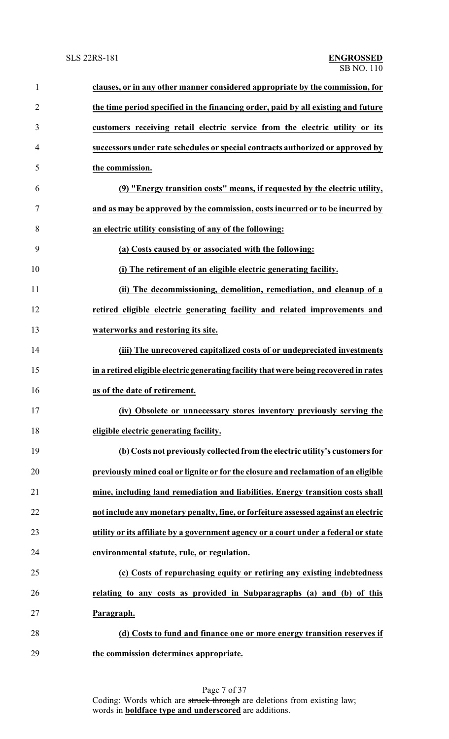| $\mathbf{1}$   | clauses, or in any other manner considered appropriate by the commission, for         |
|----------------|---------------------------------------------------------------------------------------|
| $\overline{2}$ | the time period specified in the financing order, paid by all existing and future     |
| 3              | customers receiving retail electric service from the electric utility or its          |
| $\overline{4}$ | successors under rate schedules or special contracts authorized or approved by        |
| 5              | the commission.                                                                       |
| 6              | (9) "Energy transition costs" means, if requested by the electric utility,            |
| 7              | and as may be approved by the commission, costs incurred or to be incurred by         |
| 8              | an electric utility consisting of any of the following:                               |
| 9              | (a) Costs caused by or associated with the following:                                 |
| 10             | (i) The retirement of an eligible electric generating facility.                       |
| 11             | (ii) The decommissioning, demolition, remediation, and cleanup of a                   |
| 12             | retired eligible electric generating facility and related improvements and            |
| 13             | waterworks and restoring its site.                                                    |
| 14             | (iii) The unrecovered capitalized costs of or undepreciated investments               |
| 15             | in a retired eligible electric generating facility that were being recovered in rates |
| 16             | as of the date of retirement.                                                         |
| 17             | (iv) Obsolete or unnecessary stores inventory previously serving the                  |
| 18             | eligible electric generating facility.                                                |
| 19             | (b) Costs not previously collected from the electric utility's customers for          |
| 20             | previously mined coal or lignite or for the closure and reclamation of an eligible    |
| 21             | mine, including land remediation and liabilities. Energy transition costs shall       |
| 22             | not include any monetary penalty, fine, or forfeiture assessed against an electric    |
| 23             | utility or its affiliate by a government agency or a court under a federal or state   |
| 24             | environmental statute, rule, or regulation.                                           |
| 25             | (c) Costs of repurchasing equity or retiring any existing indebtedness                |
| 26             | relating to any costs as provided in Subparagraphs (a) and (b) of this                |
| 27             | Paragraph.                                                                            |
| 28             | (d) Costs to fund and finance one or more energy transition reserves if               |
| 29             | the commission determines appropriate.                                                |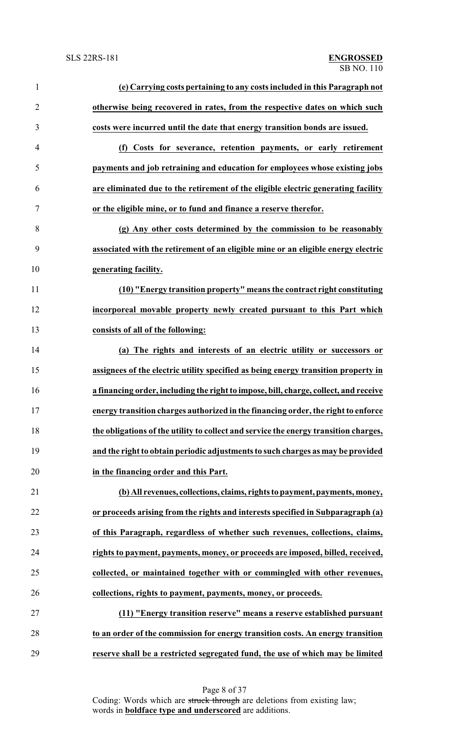| $\mathbf{1}$     | (e) Carrying costs pertaining to any costs included in this Paragraph not            |
|------------------|--------------------------------------------------------------------------------------|
| $\overline{2}$   | otherwise being recovered in rates, from the respective dates on which such          |
| 3                | costs were incurred until the date that energy transition bonds are issued.          |
| $\overline{4}$   | (f) Costs for severance, retention payments, or early retirement                     |
| 5                | payments and job retraining and education for employees whose existing jobs          |
| 6                | are eliminated due to the retirement of the eligible electric generating facility    |
| $\boldsymbol{7}$ | or the eligible mine, or to fund and finance a reserve therefor.                     |
| 8                | (g) Any other costs determined by the commission to be reasonably                    |
| 9                | associated with the retirement of an eligible mine or an eligible energy electric    |
| 10               | generating facility.                                                                 |
| 11               | (10) "Energy transition property" means the contract right constituting              |
| 12               | incorporeal movable property newly created pursuant to this Part which               |
| 13               | consists of all of the following:                                                    |
| 14               | (a) The rights and interests of an electric utility or successors or                 |
| 15               | assignees of the electric utility specified as being energy transition property in   |
| 16               | a financing order, including the right to impose, bill, charge, collect, and receive |
| 17               | energy transition charges authorized in the financing order, the right to enforce    |
| 18               | the obligations of the utility to collect and service the energy transition charges, |
| 19               | and the right to obtain periodic adjustments to such charges as may be provided      |
| 20               | in the financing order and this Part.                                                |
| 21               | (b) All revenues, collections, claims, rights to payment, payments, money,           |
| 22               | or proceeds arising from the rights and interests specified in Subparagraph (a)      |
| 23               | of this Paragraph, regardless of whether such revenues, collections, claims,         |
| 24               | rights to payment, payments, money, or proceeds are imposed, billed, received,       |
| 25               | collected, or maintained together with or commingled with other revenues,            |
| 26               | collections, rights to payment, payments, money, or proceeds.                        |
| 27               | (11) "Energy transition reserve" means a reserve established pursuant                |
| 28               | to an order of the commission for energy transition costs. An energy transition      |
| 29               | reserve shall be a restricted segregated fund, the use of which may be limited       |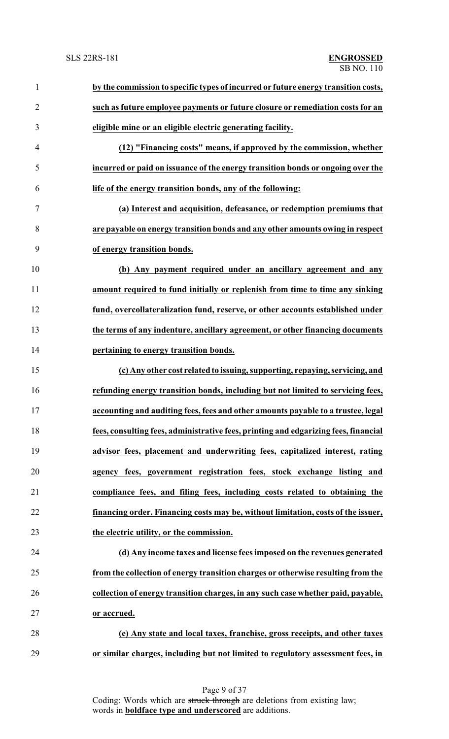| $\mathbf{1}$   | by the commission to specific types of incurred or future energy transition costs,  |
|----------------|-------------------------------------------------------------------------------------|
| $\overline{2}$ | such as future employee payments or future closure or remediation costs for an      |
| 3              | eligible mine or an eligible electric generating facility.                          |
| $\overline{4}$ | (12) "Financing costs" means, if approved by the commission, whether                |
| 5              | incurred or paid on issuance of the energy transition bonds or ongoing over the     |
| 6              | life of the energy transition bonds, any of the following:                          |
| $\overline{7}$ | (a) Interest and acquisition, defeasance, or redemption premiums that               |
| 8              | are payable on energy transition bonds and any other amounts owing in respect       |
| 9              | of energy transition bonds.                                                         |
| 10             | (b) Any payment required under an ancillary agreement and any                       |
| 11             | amount required to fund initially or replenish from time to time any sinking        |
| 12             | fund, overcollateralization fund, reserve, or other accounts established under      |
| 13             | the terms of any indenture, ancillary agreement, or other financing documents       |
| 14             | pertaining to energy transition bonds.                                              |
| 15             | (c) Any other cost related to issuing, supporting, repaying, servicing, and         |
| 16             | refunding energy transition bonds, including but not limited to servicing fees,     |
| 17             | accounting and auditing fees, fees and other amounts payable to a trustee, legal    |
| 18             | fees, consulting fees, administrative fees, printing and edgarizing fees, financial |
| 19             | advisor fees, placement and underwriting fees, capitalized interest, rating         |
| 20             | agency fees, government registration fees, stock exchange listing and               |
| 21             | compliance fees, and filing fees, including costs related to obtaining the          |
| 22             | financing order. Financing costs may be, without limitation, costs of the issuer,   |
| 23             | the electric utility, or the commission.                                            |
| 24             | (d) Any income taxes and license fees imposed on the revenues generated             |
| 25             | from the collection of energy transition charges or otherwise resulting from the    |
| 26             | collection of energy transition charges, in any such case whether paid, payable,    |
| 27             | or accrued.                                                                         |
| 28             | (e) Any state and local taxes, franchise, gross receipts, and other taxes           |
| 29             | or similar charges, including but not limited to regulatory assessment fees, in     |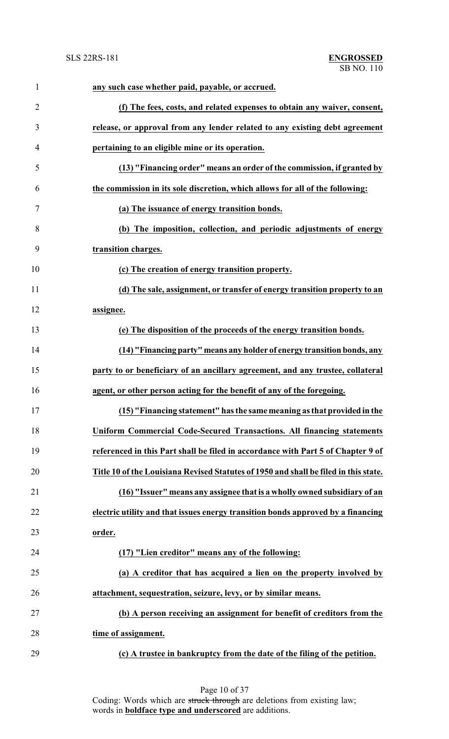| $\mathbf{1}$   | any such case whether paid, payable, or accrued.                                     |
|----------------|--------------------------------------------------------------------------------------|
| $\overline{2}$ | (f) The fees, costs, and related expenses to obtain any waiver, consent,             |
| 3              | release, or approval from any lender related to any existing debt agreement          |
| 4              | pertaining to an eligible mine or its operation.                                     |
| 5              | (13) "Financing order" means an order of the commission, if granted by               |
| 6              | the commission in its sole discretion, which allows for all of the following:        |
| 7              | (a) The issuance of energy transition bonds.                                         |
| 8              | (b) The imposition, collection, and periodic adjustments of energy                   |
| 9              | transition charges.                                                                  |
| 10             | (c) The creation of energy transition property.                                      |
| 11             | (d) The sale, assignment, or transfer of energy transition property to an            |
| 12             | assignee.                                                                            |
| 13             | (e) The disposition of the proceeds of the energy transition bonds.                  |
| 14             | (14) "Financing party" means any holder of energy transition bonds, any              |
| 15             | party to or beneficiary of an ancillary agreement, and any trustee, collateral       |
| 16             | agent, or other person acting for the benefit of any of the foregoing.               |
| 17             | (15) "Financing statement" has the same meaning as that provided in the              |
| 18             | <b>Uniform Commercial Code-Secured Transactions. All financing statements</b>        |
| 19             | referenced in this Part shall be filed in accordance with Part 5 of Chapter 9 of     |
| 20             | Title 10 of the Louisiana Revised Statutes of 1950 and shall be filed in this state. |
| 21             | (16) "Issuer" means any assignee that is a wholly owned subsidiary of an             |
| 22             | electric utility and that issues energy transition bonds approved by a financing     |
| 23             | order.                                                                               |
| 24             | (17) "Lien creditor" means any of the following:                                     |
| 25             | (a) A creditor that has acquired a lien on the property involved by                  |
| 26             | attachment, sequestration, seizure, levy, or by similar means.                       |
| 27             | (b) A person receiving an assignment for benefit of creditors from the               |
| 28             | time of assignment.                                                                  |
| 29             | (c) A trustee in bankruptcy from the date of the filing of the petition.             |

Page 10 of 37 Coding: Words which are struck through are deletions from existing law; words in **boldface type and underscored** are additions.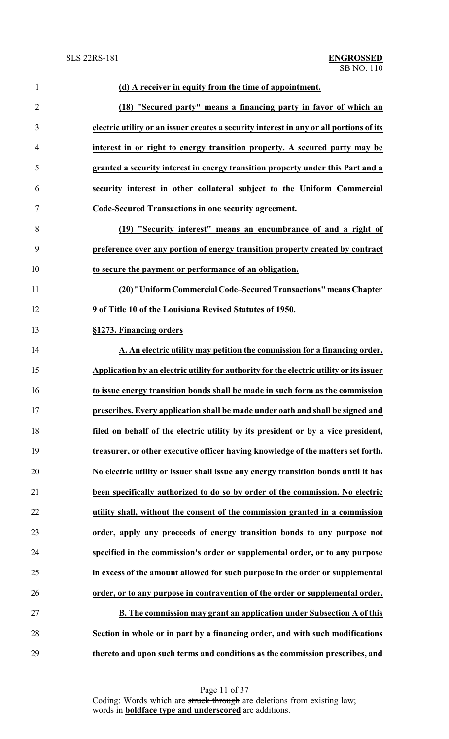| $\mathbf{1}$   | (d) A receiver in equity from the time of appointment.                                  |
|----------------|-----------------------------------------------------------------------------------------|
| $\overline{2}$ | (18) "Secured party" means a financing party in favor of which an                       |
| 3              | electric utility or an issuer creates a security interest in any or all portions of its |
| $\overline{4}$ | interest in or right to energy transition property. A secured party may be              |
| 5              | granted a security interest in energy transition property under this Part and a         |
| 6              | security interest in other collateral subject to the Uniform Commercial                 |
| 7              | Code-Secured Transactions in one security agreement.                                    |
| 8              | (19) "Security interest" means an encumbrance of and a right of                         |
| 9              | preference over any portion of energy transition property created by contract           |
| 10             | to secure the payment or performance of an obligation.                                  |
| 11             | (20) "Uniform Commercial Code-Secured Transactions" means Chapter                       |
| 12             | 9 of Title 10 of the Louisiana Revised Statutes of 1950.                                |
| 13             | §1273. Financing orders                                                                 |
| 14             | A. An electric utility may petition the commission for a financing order.               |
| 15             | Application by an electric utility for authority for the electric utility or its issuer |
| 16             | to issue energy transition bonds shall be made in such form as the commission           |
| 17             | prescribes. Every application shall be made under oath and shall be signed and          |
| 18             | filed on behalf of the electric utility by its president or by a vice president,        |
| 19             | treasurer, or other executive officer having knowledge of the matters set forth.        |
| 20             | No electric utility or issuer shall issue any energy transition bonds until it has      |
| 21             | been specifically authorized to do so by order of the commission. No electric           |
| 22             | utility shall, without the consent of the commission granted in a commission            |
| 23             | order, apply any proceeds of energy transition bonds to any purpose not                 |
| 24             | specified in the commission's order or supplemental order, or to any purpose            |
| 25             | in excess of the amount allowed for such purpose in the order or supplemental           |
| 26             | order, or to any purpose in contravention of the order or supplemental order.           |
| 27             | B. The commission may grant an application under Subsection A of this                   |
| 28             | Section in whole or in part by a financing order, and with such modifications           |
| 29             | thereto and upon such terms and conditions as the commission prescribes, and            |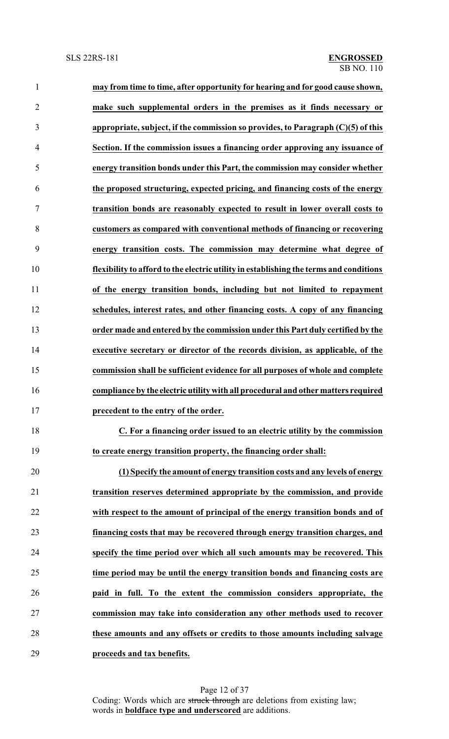| $\mathbf{1}$   | may from time to time, after opportunity for hearing and for good cause shown,         |
|----------------|----------------------------------------------------------------------------------------|
| $\overline{2}$ | make such supplemental orders in the premises as it finds necessary or                 |
| 3              | appropriate, subject, if the commission so provides, to Paragraph $(C)(5)$ of this     |
| $\overline{4}$ | Section. If the commission issues a financing order approving any issuance of          |
| 5              | energy transition bonds under this Part, the commission may consider whether           |
| 6              | the proposed structuring, expected pricing, and financing costs of the energy          |
| 7              | transition bonds are reasonably expected to result in lower overall costs to           |
| 8              | customers as compared with conventional methods of financing or recovering             |
| 9              | energy transition costs. The commission may determine what degree of                   |
| 10             | flexibility to afford to the electric utility in establishing the terms and conditions |
| 11             | of the energy transition bonds, including but not limited to repayment                 |
| 12             | schedules, interest rates, and other financing costs. A copy of any financing          |
| 13             | order made and entered by the commission under this Part duly certified by the         |
| 14             | executive secretary or director of the records division, as applicable, of the         |
| 15             | commission shall be sufficient evidence for all purposes of whole and complete         |
| 16             | compliance by the electric utility with all procedural and other matters required      |
| 17             | precedent to the entry of the order.                                                   |
| 18             | C. For a financing order issued to an electric utility by the commission               |
| 19             | to create energy transition property, the financing order shall:                       |
| 20             | (1) Specify the amount of energy transition costs and any levels of energy             |
| 21             | transition reserves determined appropriate by the commission, and provide              |
| 22             | with respect to the amount of principal of the energy transition bonds and of          |
| 23             | financing costs that may be recovered through energy transition charges, and           |
| 24             | specify the time period over which all such amounts may be recovered. This             |
| 25             | time period may be until the energy transition bonds and financing costs are           |
| 26             | paid in full. To the extent the commission considers appropriate, the                  |
| 27             | commission may take into consideration any other methods used to recover               |
| 28             | these amounts and any offsets or credits to those amounts including salvage            |
| 29             | proceeds and tax benefits.                                                             |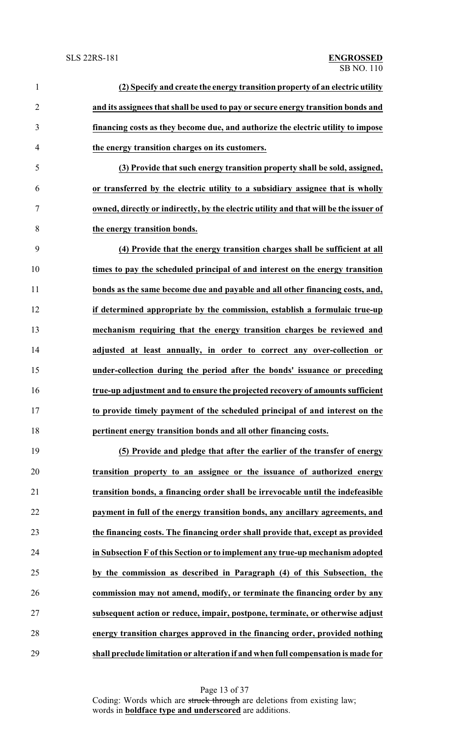| $\mathbf{1}$   | (2) Specify and create the energy transition property of an electric utility          |
|----------------|---------------------------------------------------------------------------------------|
| $\overline{2}$ | and its assignees that shall be used to pay or secure energy transition bonds and     |
| $\mathfrak{Z}$ | financing costs as they become due, and authorize the electric utility to impose      |
| $\overline{4}$ | the energy transition charges on its customers.                                       |
| 5              | (3) Provide that such energy transition property shall be sold, assigned,             |
| 6              | or transferred by the electric utility to a subsidiary assignee that is wholly        |
| $\tau$         | owned, directly or indirectly, by the electric utility and that will be the issuer of |
| 8              | the energy transition bonds.                                                          |
| 9              | (4) Provide that the energy transition charges shall be sufficient at all             |
| 10             | times to pay the scheduled principal of and interest on the energy transition         |
| 11             | bonds as the same become due and payable and all other financing costs, and,          |
| 12             | if determined appropriate by the commission, establish a formulaic true-up            |
| 13             | mechanism requiring that the energy transition charges be reviewed and                |
| 14             | adjusted at least annually, in order to correct any over-collection or                |
| 15             | under-collection during the period after the bonds' issuance or preceding             |
| 16             | true-up adjustment and to ensure the projected recovery of amounts sufficient         |
| 17             | to provide timely payment of the scheduled principal of and interest on the           |
| 18             | pertinent energy transition bonds and all other financing costs.                      |
| 19             | (5) Provide and pledge that after the earlier of the transfer of energy               |
| 20             | transition property to an assignee or the issuance of authorized energy               |
| 21             | transition bonds, a financing order shall be irrevocable until the indefeasible       |
| 22             | payment in full of the energy transition bonds, any ancillary agreements, and         |
| 23             | the financing costs. The financing order shall provide that, except as provided       |
| 24             | in Subsection F of this Section or to implement any true-up mechanism adopted         |
| 25             | by the commission as described in Paragraph (4) of this Subsection, the               |
| 26             | commission may not amend, modify, or terminate the financing order by any             |
| 27             | subsequent action or reduce, impair, postpone, terminate, or otherwise adjust         |
| 28             | energy transition charges approved in the financing order, provided nothing           |

**shall preclude limitation or alteration if and when full compensation is made for**

Page 13 of 37 Coding: Words which are struck through are deletions from existing law; words in **boldface type and underscored** are additions.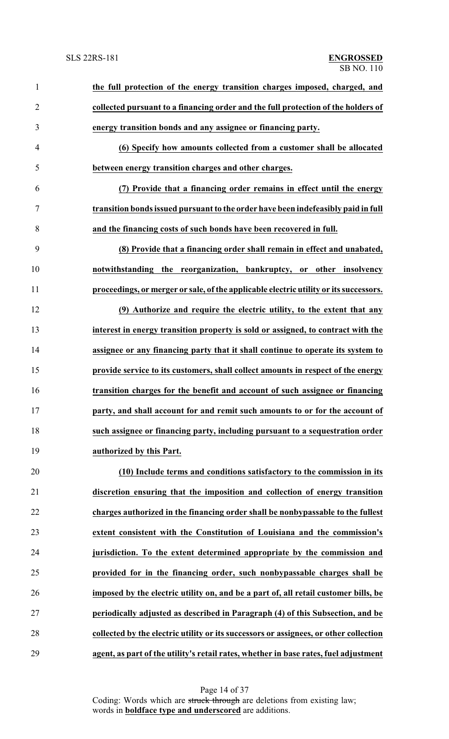| $\mathbf{1}$   | the full protection of the energy transition charges imposed, charged, and            |
|----------------|---------------------------------------------------------------------------------------|
| $\overline{2}$ | collected pursuant to a financing order and the full protection of the holders of     |
| 3              | energy transition bonds and any assignee or financing party.                          |
| $\overline{4}$ | (6) Specify how amounts collected from a customer shall be allocated                  |
| 5              | between energy transition charges and other charges.                                  |
| 6              | (7) Provide that a financing order remains in effect until the energy                 |
| 7              | transition bonds issued pursuant to the order have been indefeasibly paid in full     |
| 8              | and the financing costs of such bonds have been recovered in full.                    |
| 9              | (8) Provide that a financing order shall remain in effect and unabated,               |
| 10             | notwithstanding the reorganization, bankruptcy, or other insolvency                   |
| 11             | proceedings, or merger or sale, of the applicable electric utility or its successors. |
| 12             | (9) Authorize and require the electric utility, to the extent that any                |
| 13             | interest in energy transition property is sold or assigned, to contract with the      |
| 14             | assignee or any financing party that it shall continue to operate its system to       |
| 15             | provide service to its customers, shall collect amounts in respect of the energy      |
| 16             | transition charges for the benefit and account of such assignee or financing          |
| 17             | party, and shall account for and remit such amounts to or for the account of          |
| 18             | such assignee or financing party, including pursuant to a sequestration order         |
| 19             | authorized by this Part.                                                              |
| 20             | (10) Include terms and conditions satisfactory to the commission in its               |
| 21             | discretion ensuring that the imposition and collection of energy transition           |
| 22             | charges authorized in the financing order shall be nonbypassable to the fullest       |
| 23             | extent consistent with the Constitution of Louisiana and the commission's             |
| 24             | jurisdiction. To the extent determined appropriate by the commission and              |
| 25             | provided for in the financing order, such nonbypassable charges shall be              |
| 26             | imposed by the electric utility on, and be a part of, all retail customer bills, be   |
| 27             | periodically adjusted as described in Paragraph (4) of this Subsection, and be        |
| 28             | collected by the electric utility or its successors or assignees, or other collection |
| 29             | agent, as part of the utility's retail rates, whether in base rates, fuel adjustment  |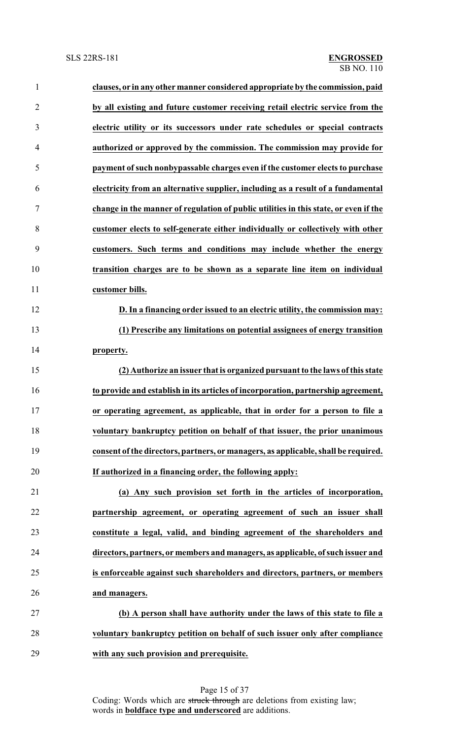| $\mathbf{1}$   | clauses, or in any other manner considered appropriate by the commission, paid       |
|----------------|--------------------------------------------------------------------------------------|
| $\overline{2}$ | by all existing and future customer receiving retail electric service from the       |
| 3              | electric utility or its successors under rate schedules or special contracts         |
| 4              | authorized or approved by the commission. The commission may provide for             |
| 5              | payment of such nonbypassable charges even if the customer elects to purchase        |
| 6              | electricity from an alternative supplier, including as a result of a fundamental     |
| 7              | change in the manner of regulation of public utilities in this state, or even if the |
| 8              | customer elects to self-generate either individually or collectively with other      |
| 9              | customers. Such terms and conditions may include whether the energy                  |
| 10             | transition charges are to be shown as a separate line item on individual             |
| 11             | customer bills.                                                                      |
| 12             | D. In a financing order issued to an electric utility, the commission may:           |
| 13             | (1) Prescribe any limitations on potential assignees of energy transition            |
| 14             | property.                                                                            |
| 15             | (2) Authorize an issuer that is organized pursuant to the laws of this state         |
| 16             | to provide and establish in its articles of incorporation, partnership agreement,    |
| 17             | or operating agreement, as applicable, that in order for a person to file a          |
| 18             | voluntary bankruptcy petition on behalf of that issuer, the prior unanimous          |
| 19             | consent of the directors, partners, or managers, as applicable, shall be required.   |
| 20             | If authorized in a financing order, the following apply:                             |
| 21             | (a) Any such provision set forth in the articles of incorporation,                   |
| 22             | partnership agreement, or operating agreement of such an issuer shall                |
| 23             | constitute a legal, valid, and binding agreement of the shareholders and             |
| 24             | directors, partners, or members and managers, as applicable, of such issuer and      |
| 25             | is enforceable against such shareholders and directors, partners, or members         |
| 26             | and managers.                                                                        |
| 27             | (b) A person shall have authority under the laws of this state to file a             |
| 28             | voluntary bankruptcy petition on behalf of such issuer only after compliance         |
| 29             | with any such provision and prerequisite.                                            |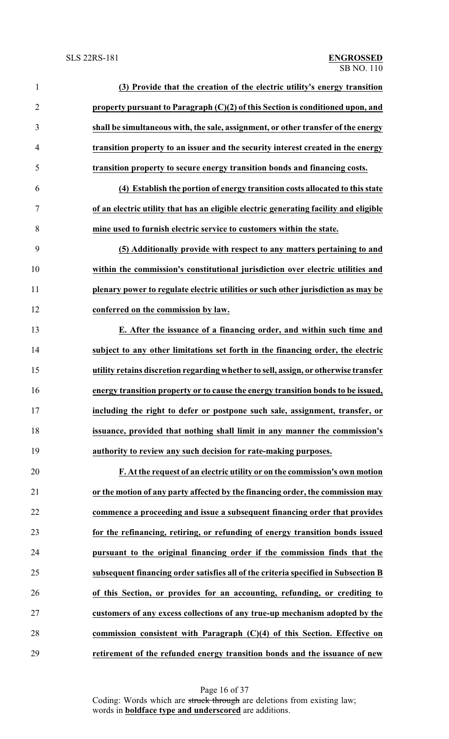| $\mathbf{1}$   | (3) Provide that the creation of the electric utility's energy transition             |
|----------------|---------------------------------------------------------------------------------------|
| $\overline{2}$ | property pursuant to Paragraph (C)(2) of this Section is conditioned upon, and        |
| 3              | shall be simultaneous with, the sale, assignment, or other transfer of the energy     |
| $\overline{4}$ | transition property to an issuer and the security interest created in the energy      |
| 5              | transition property to secure energy transition bonds and financing costs.            |
| 6              | (4) Establish the portion of energy transition costs allocated to this state          |
| 7              | of an electric utility that has an eligible electric generating facility and eligible |
| 8              | mine used to furnish electric service to customers within the state.                  |
| 9              | (5) Additionally provide with respect to any matters pertaining to and                |
| 10             | within the commission's constitutional jurisdiction over electric utilities and       |
| 11             | plenary power to regulate electric utilities or such other jurisdiction as may be     |
| 12             | conferred on the commission by law.                                                   |
| 13             | E. After the issuance of a financing order, and within such time and                  |
| 14             | subject to any other limitations set forth in the financing order, the electric       |
| 15             | utility retains discretion regarding whether to sell, assign, or otherwise transfer   |
| 16             | energy transition property or to cause the energy transition bonds to be issued,      |
| 17             | including the right to defer or postpone such sale, assignment, transfer, or          |
| 18             | issuance, provided that nothing shall limit in any manner the commission's            |
| 19             | authority to review any such decision for rate-making purposes.                       |
| 20             | F. At the request of an electric utility or on the commission's own motion            |
| 21             | or the motion of any party affected by the financing order, the commission may        |
| 22             | commence a proceeding and issue a subsequent financing order that provides            |
| 23             | for the refinancing, retiring, or refunding of energy transition bonds issued         |
| 24             | pursuant to the original financing order if the commission finds that the             |
| 25             | subsequent financing order satisfies all of the criteria specified in Subsection B    |
| 26             | of this Section, or provides for an accounting, refunding, or crediting to            |
| 27             | customers of any excess collections of any true-up mechanism adopted by the           |
| 28             | commission consistent with Paragraph $(C)(4)$ of this Section. Effective on           |
| 29             | retirement of the refunded energy transition bonds and the issuance of new            |

Page 16 of 37

Coding: Words which are struck through are deletions from existing law; words in **boldface type and underscored** are additions.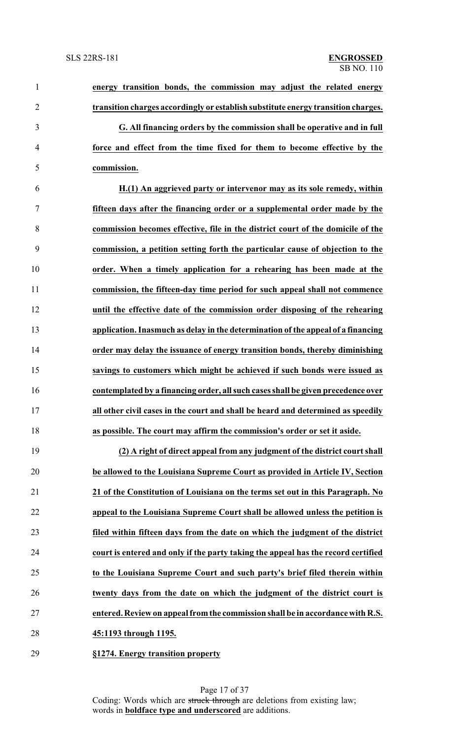| $\mathbf{1}$   | energy transition bonds, the commission may adjust the related energy             |
|----------------|-----------------------------------------------------------------------------------|
| $\overline{2}$ | transition charges accordingly or establish substitute energy transition charges. |
| 3              | G. All financing orders by the commission shall be operative and in full          |
| 4              | force and effect from the time fixed for them to become effective by the          |
| 5              | commission.                                                                       |
| 6              | H.(1) An aggrieved party or intervenor may as its sole remedy, within             |
| $\tau$         | fifteen days after the financing order or a supplemental order made by the        |
| 8              | commission becomes effective, file in the district court of the domicile of the   |
| 9              | commission, a petition setting forth the particular cause of objection to the     |
| 10             | order. When a timely application for a rehearing has been made at the             |
| 11             | commission, the fifteen-day time period for such appeal shall not commence        |
| 12             | until the effective date of the commission order disposing of the rehearing       |
| 13             | application. Inasmuch as delay in the determination of the appeal of a financing  |
| 14             | order may delay the issuance of energy transition bonds, thereby diminishing      |
| 15             | savings to customers which might be achieved if such bonds were issued as         |
| 16             | contemplated by a financing order, all such cases shall be given precedence over  |
| 17             | all other civil cases in the court and shall be heard and determined as speedily  |
| 18             | as possible. The court may affirm the commission's order or set it aside.         |
| 19             | (2) A right of direct appeal from any judgment of the district court shall        |
| 20             | be allowed to the Louisiana Supreme Court as provided in Article IV, Section      |
| 21             | 21 of the Constitution of Louisiana on the terms set out in this Paragraph. No    |
| 22             | appeal to the Louisiana Supreme Court shall be allowed unless the petition is     |
| 23             | filed within fifteen days from the date on which the judgment of the district     |
| 24             | court is entered and only if the party taking the appeal has the record certified |
| 25             | to the Louisiana Supreme Court and such party's brief filed therein within        |
| 26             | twenty days from the date on which the judgment of the district court is          |
| 27             | entered. Review on appeal from the commission shall be in accordance with R.S.    |

**45:1193 through 1195.**

**§1274. Energy transition property**

Page 17 of 37 Coding: Words which are struck through are deletions from existing law; words in **boldface type and underscored** are additions.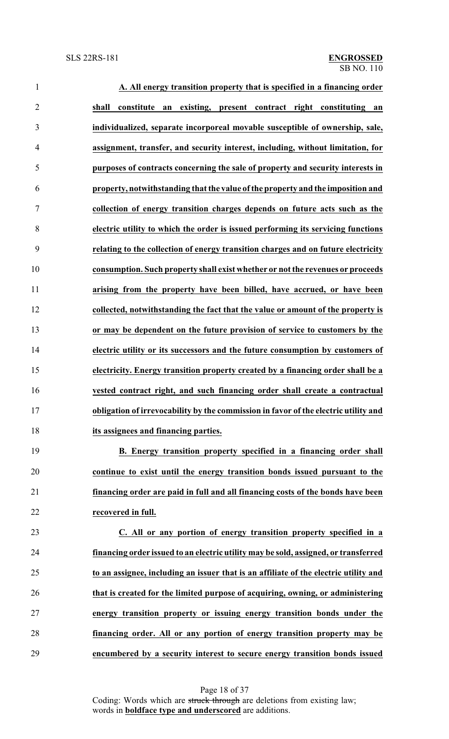| $\mathbf{1}$   | A. All energy transition property that is specified in a financing order             |
|----------------|--------------------------------------------------------------------------------------|
| $\overline{2}$ | an existing, present contract right constituting<br>shall<br>constitute<br>an        |
| 3              | individualized, separate incorporeal movable susceptible of ownership, sale,         |
| $\overline{4}$ | assignment, transfer, and security interest, including, without limitation, for      |
| 5              | purposes of contracts concerning the sale of property and security interests in      |
| 6              | property, notwithstanding that the value of the property and the imposition and      |
| 7              | collection of energy transition charges depends on future acts such as the           |
| 8              | electric utility to which the order is issued performing its servicing functions     |
| 9              | relating to the collection of energy transition charges and on future electricity    |
| 10             | consumption. Such property shall exist whether or not the revenues or proceeds       |
| 11             | arising from the property have been billed, have accrued, or have been               |
| 12             | collected, notwithstanding the fact that the value or amount of the property is      |
| 13             | or may be dependent on the future provision of service to customers by the           |
| 14             | electric utility or its successors and the future consumption by customers of        |
| 15             | electricity. Energy transition property created by a financing order shall be a      |
| 16             | vested contract right, and such financing order shall create a contractual           |
| 17             | obligation of irrevocability by the commission in favor of the electric utility and  |
| 18             | its assignees and financing parties.                                                 |
| 19             | B. Energy transition property specified in a financing order shall                   |
| 20             | continue to exist until the energy transition bonds issued pursuant to the           |
| 21             | financing order are paid in full and all financing costs of the bonds have been      |
| 22             | recovered in full.                                                                   |
| 23             | C. All or any portion of energy transition property specified in a                   |
| 24             | financing order issued to an electric utility may be sold, assigned, or transferred  |
| 25             | to an assignee, including an issuer that is an affiliate of the electric utility and |
| 26             | that is created for the limited purpose of acquiring, owning, or administering       |
| 27             | energy transition property or issuing energy transition bonds under the              |
| 28             | financing order. All or any portion of energy transition property may be             |
| 29             | encumbered by a security interest to secure energy transition bonds issued           |

Page 18 of 37 Coding: Words which are struck through are deletions from existing law; words in **boldface type and underscored** are additions.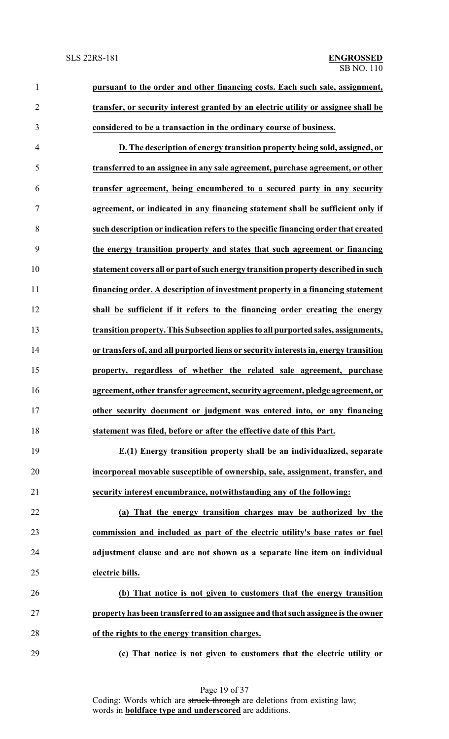**pursuant to the order and other financing costs. Each such sale, assignment, transfer, or security interest granted by an electric utility or assignee shall be considered to be a transaction in the ordinary course of business.**

 **D. The description of energy transition property being sold, assigned, or transferred to an assignee in any sale agreement, purchase agreement, or other transfer agreement, being encumbered to a secured party in any security agreement, or indicated in any financing statement shall be sufficient only if such description or indication refers to the specific financing order that created the energy transition property and states that such agreement or financing statement covers all or part ofsuch energy transition property described in such financing order. A description of investment property in a financing statement shall be sufficient if it refers to the financing order creating the energy transition property. This Subsection applies to all purported sales, assignments, or transfers of, and all purported liens or security interests in, energy transition property, regardless of whether the related sale agreement, purchase agreement, other transfer agreement, security agreement, pledge agreement, or other security document or judgment was entered into, or any financing statement was filed, before or after the effective date of this Part.**

 **E.(1) Energy transition property shall be an individualized, separate incorporeal movable susceptible of ownership, sale, assignment, transfer, and security interest encumbrance, notwithstanding any of the following:**

 **(a) That the energy transition charges may be authorized by the commission and included as part of the electric utility's base rates or fuel adjustment clause and are not shown as a separate line item on individual electric bills.**

 **(b) That notice is not given to customers that the energy transition property has been transferred to an assignee and that such assignee is the owner of the rights to the energy transition charges.**

**(c) That notice is not given to customers that the electric utility or**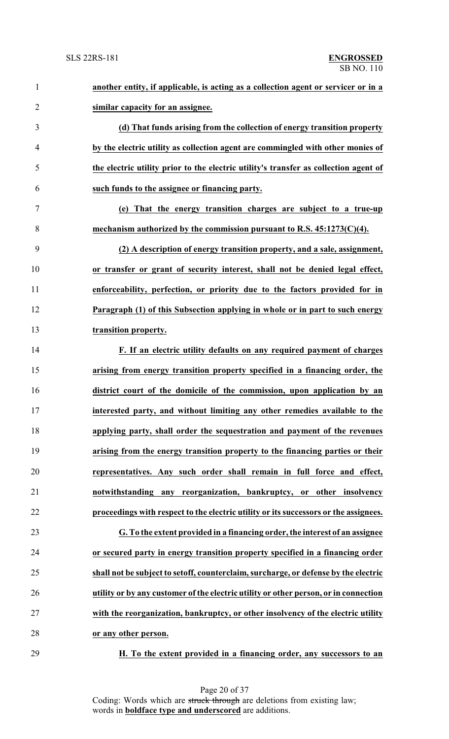| $\mathbf{1}$   | another entity, if applicable, is acting as a collection agent or servicer or in a   |
|----------------|--------------------------------------------------------------------------------------|
| $\overline{2}$ | similar capacity for an assignee.                                                    |
| 3              | (d) That funds arising from the collection of energy transition property             |
| $\overline{4}$ | by the electric utility as collection agent are commingled with other monies of      |
| 5              | the electric utility prior to the electric utility's transfer as collection agent of |
| 6              | such funds to the assignee or financing party.                                       |
| $\overline{7}$ | (e) That the energy transition charges are subject to a true-up                      |
| 8              | mechanism authorized by the commission pursuant to R.S. $45:1273(C)(4)$ .            |
| 9              | (2) A description of energy transition property, and a sale, assignment,             |
| 10             | or transfer or grant of security interest, shall not be denied legal effect,         |
| 11             | enforceability, perfection, or priority due to the factors provided for in           |
| 12             | Paragraph (1) of this Subsection applying in whole or in part to such energy         |
| 13             | transition property.                                                                 |
| 14             | F. If an electric utility defaults on any required payment of charges                |
| 15             | arising from energy transition property specified in a financing order, the          |
| 16             | district court of the domicile of the commission, upon application by an             |
| 17             | interested party, and without limiting any other remedies available to the           |
| 18             | applying party, shall order the sequestration and payment of the revenues            |
| 19             | arising from the energy transition property to the financing parties or their        |
| 20             | representatives. Any such order shall remain in full force and effect,               |
| 21             | notwithstanding any reorganization, bankruptcy, or other insolvency                  |
| 22             | proceedings with respect to the electric utility or its successors or the assignees. |
| 23             | G. To the extent provided in a financing order, the interest of an assignee          |
| 24             | or secured party in energy transition property specified in a financing order        |
| 25             | shall not be subject to setoff, counterclaim, surcharge, or defense by the electric  |
| 26             | utility or by any customer of the electric utility or other person, or in connection |
| 27             | with the reorganization, bankruptcy, or other insolvency of the electric utility     |
| 28             | or any other person.                                                                 |
|                |                                                                                      |

**H. To the extent provided in a financing order, any successors to an**

Page 20 of 37 Coding: Words which are struck through are deletions from existing law; words in **boldface type and underscored** are additions.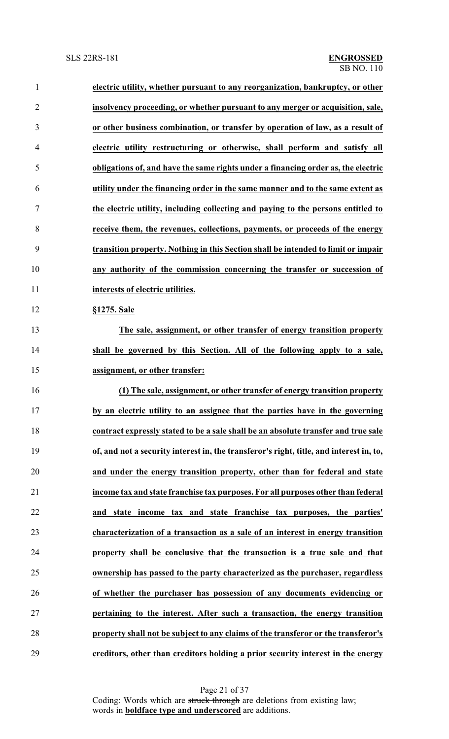| 1              | electric utility, whether pursuant to any reorganization, bankruptcy, or other          |
|----------------|-----------------------------------------------------------------------------------------|
| $\overline{2}$ | insolvency proceeding, or whether pursuant to any merger or acquisition, sale,          |
| 3              | or other business combination, or transfer by operation of law, as a result of          |
| $\overline{4}$ | electric utility restructuring or otherwise, shall perform and satisfy all              |
| 5              | obligations of, and have the same rights under a financing order as, the electric       |
| 6              | utility under the financing order in the same manner and to the same extent as          |
| 7              | the electric utility, including collecting and paying to the persons entitled to        |
| 8              | receive them, the revenues, collections, payments, or proceeds of the energy            |
| 9              | transition property. Nothing in this Section shall be intended to limit or impair       |
| 10             | any authority of the commission concerning the transfer or succession of                |
| 11             | interests of electric utilities.                                                        |
| 12             | §1275. Sale                                                                             |
| 13             | The sale, assignment, or other transfer of energy transition property                   |
| 14             | shall be governed by this Section. All of the following apply to a sale,                |
| 15             | assignment, or other transfer:                                                          |
| 16             | (1) The sale, assignment, or other transfer of energy transition property               |
| 17             | by an electric utility to an assignee that the parties have in the governing            |
| 18             | contract expressly stated to be a sale shall be an absolute transfer and true sale      |
| 19             | of, and not a security interest in, the transferor's right, title, and interest in, to, |
| 20             | and under the energy transition property, other than for federal and state              |
| 21             | income tax and state franchise tax purposes. For all purposes other than federal        |
| 22             | and state income tax and state franchise tax purposes, the parties'                     |
| 23             | characterization of a transaction as a sale of an interest in energy transition         |
| 24             | property shall be conclusive that the transaction is a true sale and that               |
| 25             | ownership has passed to the party characterized as the purchaser, regardless            |
| 26             | of whether the purchaser has possession of any documents evidencing or                  |
| 27             | pertaining to the interest. After such a transaction, the energy transition             |
| 28             | property shall not be subject to any claims of the transferor or the transferor's       |
| 29             | creditors, other than creditors holding a prior security interest in the energy         |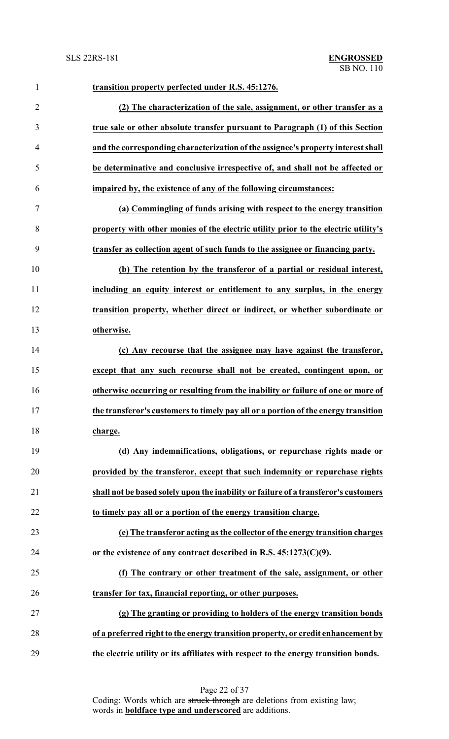| $\mathbf{1}$   | transition property perfected under R.S. 45:1276.                                   |
|----------------|-------------------------------------------------------------------------------------|
| $\overline{2}$ | (2) The characterization of the sale, assignment, or other transfer as a            |
| 3              | true sale or other absolute transfer pursuant to Paragraph (1) of this Section      |
| $\overline{4}$ | and the corresponding characterization of the assignee's property interest shall    |
| 5              | be determinative and conclusive irrespective of, and shall not be affected or       |
| 6              | impaired by, the existence of any of the following circumstances:                   |
| $\tau$         | (a) Commingling of funds arising with respect to the energy transition              |
| 8              | property with other monies of the electric utility prior to the electric utility's  |
| 9              | transfer as collection agent of such funds to the assignee or financing party.      |
| 10             | (b) The retention by the transferor of a partial or residual interest,              |
| 11             | including an equity interest or entitlement to any surplus, in the energy           |
| 12             | transition property, whether direct or indirect, or whether subordinate or          |
| 13             | otherwise.                                                                          |
| 14             | (c) Any recourse that the assignee may have against the transferor,                 |
| 15             | except that any such recourse shall not be created, contingent upon, or             |
| 16             | otherwise occurring or resulting from the inability or failure of one or more of    |
| 17             | the transferor's customers to timely pay all or a portion of the energy transition  |
| 18             | charge.                                                                             |
| 19             | (d) Any indemnifications, obligations, or repurchase rights made or                 |
| 20             | provided by the transferor, except that such indemnity or repurchase rights         |
| 21             | shall not be based solely upon the inability or failure of a transferor's customers |
| 22             | to timely pay all or a portion of the energy transition charge.                     |
| 23             | (e) The transferor acting as the collector of the energy transition charges         |
| 24             | or the existence of any contract described in R.S. $45:1273(C)(9)$ .                |
| 25             | (f) The contrary or other treatment of the sale, assignment, or other               |
| 26             | transfer for tax, financial reporting, or other purposes.                           |
| 27             | (g) The granting or providing to holders of the energy transition bonds             |
| 28             | of a preferred right to the energy transition property, or credit enhancement by    |
| 29             | the electric utility or its affiliates with respect to the energy transition bonds. |

Page 22 of 37 Coding: Words which are struck through are deletions from existing law; words in **boldface type and underscored** are additions.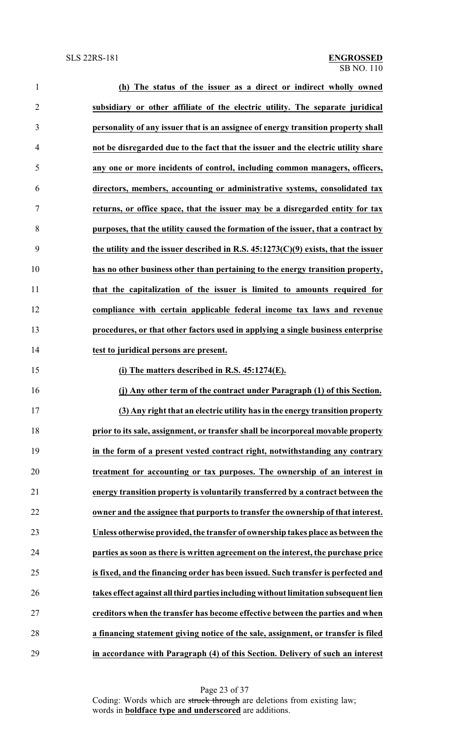| $\mathbf{1}$   | (h) The status of the issuer as a direct or indirect wholly owned                    |
|----------------|--------------------------------------------------------------------------------------|
| $\overline{2}$ | subsidiary or other affiliate of the electric utility. The separate juridical        |
| 3              | personality of any issuer that is an assignee of energy transition property shall    |
| $\overline{4}$ | not be disregarded due to the fact that the issuer and the electric utility share    |
| 5              | any one or more incidents of control, including common managers, officers,           |
| 6              | directors, members, accounting or administrative systems, consolidated tax           |
| 7              | returns, or office space, that the issuer may be a disregarded entity for tax        |
| 8              | purposes, that the utility caused the formation of the issuer, that a contract by    |
| 9              | the utility and the issuer described in R.S. $45:1273(C)(9)$ exists, that the issuer |
| 10             | has no other business other than pertaining to the energy transition property,       |
| 11             | that the capitalization of the issuer is limited to amounts required for             |
| 12             | compliance with certain applicable federal income tax laws and revenue               |
| 13             | procedures, or that other factors used in applying a single business enterprise      |
| 14             | test to juridical persons are present.                                               |
| 15             | (i) The matters described in R.S. $45:1274(E)$ .                                     |
| 16             | (j) Any other term of the contract under Paragraph (1) of this Section.              |
| 17             | (3) Any right that an electric utility has in the energy transition property         |
| 18             | prior to its sale, assignment, or transfer shall be incorporeal movable property     |
| 19             | in the form of a present vested contract right, notwithstanding any contrary         |
| 20             | treatment for accounting or tax purposes. The ownership of an interest in            |
| 21             | energy transition property is voluntarily transferred by a contract between the      |
| 22             | owner and the assignee that purports to transfer the ownership of that interest.     |
| 23             | Unless otherwise provided, the transfer of ownership takes place as between the      |
| 24             | parties as soon as there is written agreement on the interest, the purchase price    |
| 25             | is fixed, and the financing order has been issued. Such transfer is perfected and    |
| 26             | takes effect against all third parties including without limitation subsequent lien  |
| 27             | creditors when the transfer has become effective between the parties and when        |
| 28             | a financing statement giving notice of the sale, assignment, or transfer is filed    |
| 29             | in accordance with Paragraph (4) of this Section. Delivery of such an interest       |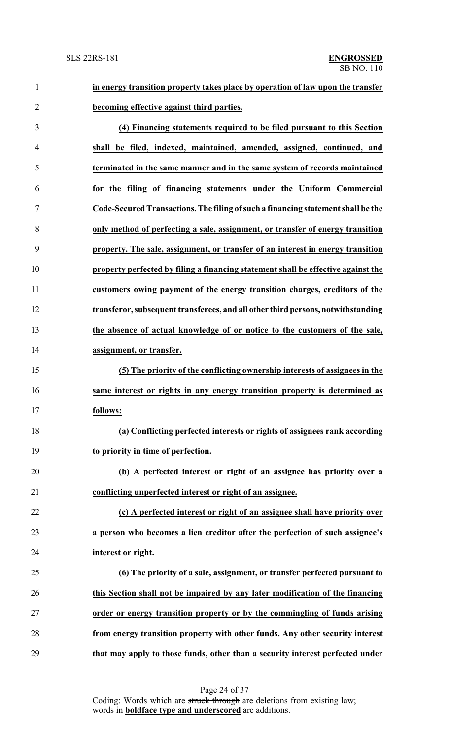**in energy transition property takes place by operation of law upon the transfer becoming effective against third parties.**

 **(4) Financing statements required to be filed pursuant to this Section shall be filed, indexed, maintained, amended, assigned, continued, and terminated in the same manner and in the same system of records maintained for the filing of financing statements under the Uniform Commercial Code-Secured Transactions.The filing ofsuch a financing statement shall be the only method of perfecting a sale, assignment, or transfer of energy transition property. The sale, assignment, or transfer of an interest in energy transition property perfected by filing a financing statement shall be effective against the customers owing payment of the energy transition charges, creditors of the transferor, subsequent transferees, and all other third persons,notwithstanding the absence of actual knowledge of or notice to the customers of the sale, assignment, or transfer. (5) The priority of the conflicting ownership interests of assignees in the same interest or rights in any energy transition property is determined as follows: (a) Conflicting perfected interests or rights of assignees rank according to priority in time of perfection. (b) A perfected interest or right of an assignee has priority over a conflicting unperfected interest or right of an assignee. (c) A perfected interest or right of an assignee shall have priority over a person who becomes a lien creditor after the perfection of such assignee's interest or right. (6) The priority of a sale, assignment, or transfer perfected pursuant to this Section shall not be impaired by any later modification of the financing order or energy transition property or by the commingling of funds arising**

**that may apply to those funds, other than a security interest perfected under**

**from energy transition property with other funds. Any other security interest**

Page 24 of 37

Coding: Words which are struck through are deletions from existing law; words in **boldface type and underscored** are additions.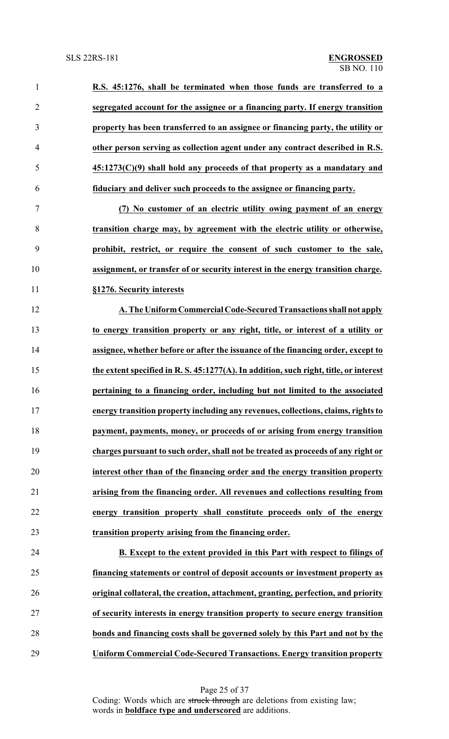**R.S. 45:1276, shall be terminated when those funds are transferred to a segregated account for the assignee or a financing party. If energy transition property has been transferred to an assignee or financing party, the utility or other person serving as collection agent under any contract described in R.S. 45:1273(C)(9) shall hold any proceeds of that property as a mandatary and fiduciary and deliver such proceeds to the assignee or financing party. (7) No customer of an electric utility owing payment of an energy transition charge may, by agreement with the electric utility or otherwise, prohibit, restrict, or require the consent of such customer to the sale, assignment, or transfer of or security interest in the energy transition charge. §1276. Security interests A. The UniformCommercial Code-Secured Transactions shall not apply to energy transition property or any right, title, or interest of a utility or assignee, whether before or after the issuance of the financing order, except to the extent specified in R. S. 45:1277(A). In addition, such right, title, or interest pertaining to a financing order, including but not limited to the associated energy transition property including any revenues, collections, claims, rights to**

 **payment, payments, money, or proceeds of or arising from energy transition charges pursuant to such order, shall not be treated as proceeds of any right or interest other than of the financing order and the energy transition property arising from the financing order. All revenues and collections resulting from energy transition property shall constitute proceeds only of the energy transition property arising from the financing order.**

 **B. Except to the extent provided in this Part with respect to filings of financing statements or control of deposit accounts or investment property as original collateral, the creation, attachment, granting, perfection, and priority of security interests in energy transition property to secure energy transition bonds and financing costs shall be governed solely by this Part and not by the Uniform Commercial Code-Secured Transactions. Energy transition property**

> Page 25 of 37 Coding: Words which are struck through are deletions from existing law; words in **boldface type and underscored** are additions.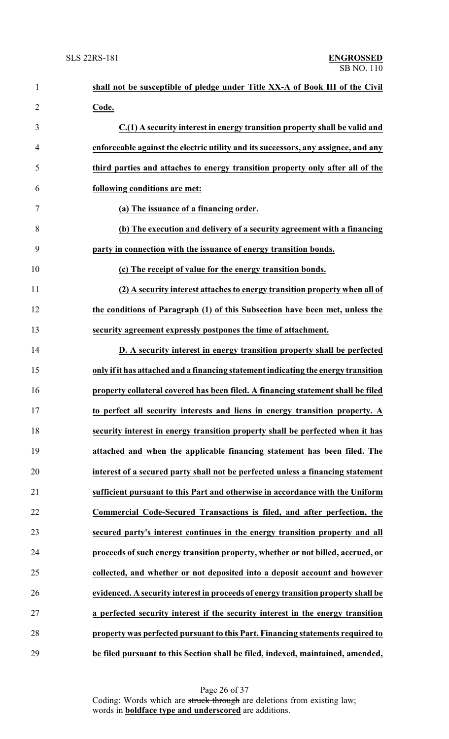| $\mathbf{1}$   | shall not be susceptible of pledge under Title XX-A of Book III of the Civil       |
|----------------|------------------------------------------------------------------------------------|
| $\overline{2}$ | Code.                                                                              |
| 3              | C.(1) A security interest in energy transition property shall be valid and         |
| $\overline{4}$ | enforceable against the electric utility and its successors, any assignee, and any |
| 5              | third parties and attaches to energy transition property only after all of the     |
| 6              | following conditions are met:                                                      |
| $\tau$         | (a) The issuance of a financing order.                                             |
| 8              | (b) The execution and delivery of a security agreement with a financing            |
| 9              | party in connection with the issuance of energy transition bonds.                  |
| 10             | (c) The receipt of value for the energy transition bonds.                          |
| 11             | (2) A security interest attaches to energy transition property when all of         |
| 12             | the conditions of Paragraph (1) of this Subsection have been met, unless the       |
| 13             | security agreement expressly postpones the time of attachment.                     |
| 14             | D. A security interest in energy transition property shall be perfected            |
| 15             | only if it has attached and a financing statement indicating the energy transition |
| 16             | property collateral covered has been filed. A financing statement shall be filed   |
| 17             | to perfect all security interests and liens in energy transition property. A       |
| 18             | security interest in energy transition property shall be perfected when it has     |
| 19             | attached and when the applicable financing statement has been filed. The           |
| 20             | interest of a secured party shall not be perfected unless a financing statement    |
| 21             | sufficient pursuant to this Part and otherwise in accordance with the Uniform      |
| 22             | Commercial Code-Secured Transactions is filed, and after perfection, the           |
| 23             | secured party's interest continues in the energy transition property and all       |
| 24             | proceeds of such energy transition property, whether or not billed, accrued, or    |
| 25             | collected, and whether or not deposited into a deposit account and however         |
| 26             | evidenced. A security interest in proceeds of energy transition property shall be  |
| $27\,$         | a perfected security interest if the security interest in the energy transition    |
| 28             | property was perfected pursuant to this Part. Financing statements required to     |
| 29             | be filed pursuant to this Section shall be filed, indexed, maintained, amended,    |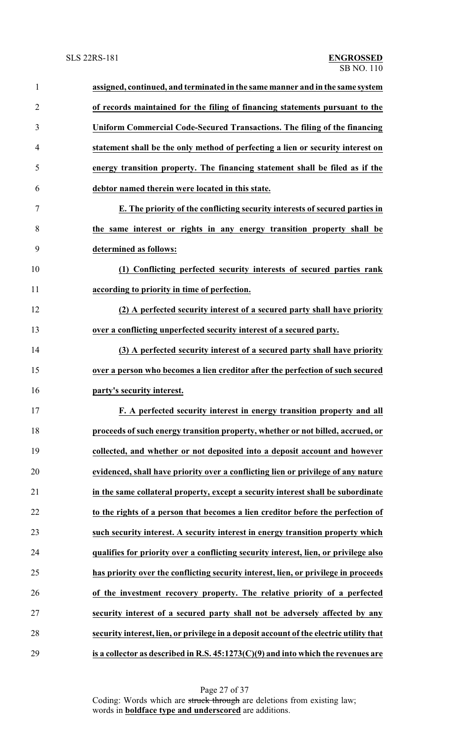| $\mathbf{1}$   | assigned, continued, and terminated in the same manner and in the same system           |
|----------------|-----------------------------------------------------------------------------------------|
| $\overline{2}$ | of records maintained for the filing of financing statements pursuant to the            |
| 3              | Uniform Commercial Code-Secured Transactions. The filing of the financing               |
| $\overline{4}$ | statement shall be the only method of perfecting a lien or security interest on         |
| 5              | energy transition property. The financing statement shall be filed as if the            |
| 6              | debtor named therein were located in this state.                                        |
| 7              | E. The priority of the conflicting security interests of secured parties in             |
| 8              | the same interest or rights in any energy transition property shall be                  |
| 9              | determined as follows:                                                                  |
| 10             | (1) Conflicting perfected security interests of secured parties rank                    |
| 11             | according to priority in time of perfection.                                            |
| 12             | (2) A perfected security interest of a secured party shall have priority                |
| 13             | over a conflicting unperfected security interest of a secured party.                    |
| 14             | (3) A perfected security interest of a secured party shall have priority                |
| 15             | over a person who becomes a lien creditor after the perfection of such secured          |
| 16             | party's security interest.                                                              |
| 17             | F. A perfected security interest in energy transition property and all                  |
| 18             | proceeds of such energy transition property, whether or not billed, accrued, or         |
| 19             | collected, and whether or not deposited into a deposit account and however              |
| 20             | evidenced, shall have priority over a conflicting lien or privilege of any nature       |
| 21             | in the same collateral property, except a security interest shall be subordinate        |
| 22             | to the rights of a person that becomes a lien creditor before the perfection of         |
| 23             | such security interest. A security interest in energy transition property which         |
| 24             | qualifies for priority over a conflicting security interest, lien, or privilege also    |
| 25             | has priority over the conflicting security interest, lien, or privilege in proceeds     |
| 26             | of the investment recovery property. The relative priority of a perfected               |
| 27             | security interest of a secured party shall not be adversely affected by any             |
| 28             | security interest, lien, or privilege in a deposit account of the electric utility that |
| 29             | is a collector as described in R.S. $45:1273(C)(9)$ and into which the revenues are     |

Page 27 of 37 Coding: Words which are struck through are deletions from existing law; words in **boldface type and underscored** are additions.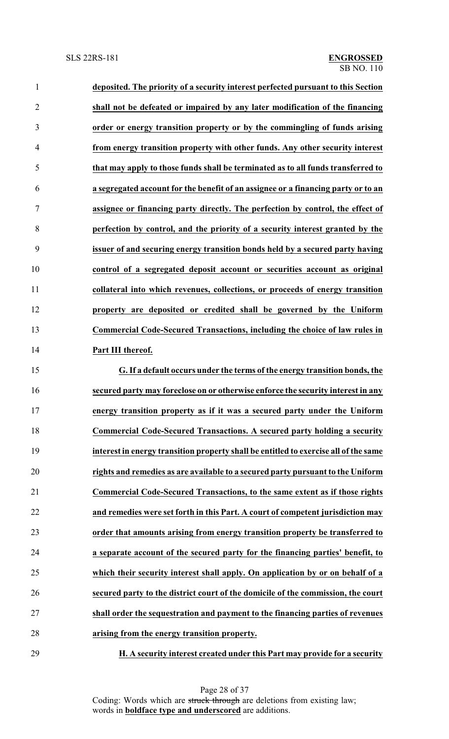| $\mathbf{1}$   | deposited. The priority of a security interest perfected pursuant to this Section    |
|----------------|--------------------------------------------------------------------------------------|
| $\overline{2}$ | shall not be defeated or impaired by any later modification of the financing         |
| 3              | order or energy transition property or by the commingling of funds arising           |
| 4              | from energy transition property with other funds. Any other security interest        |
| 5              | that may apply to those funds shall be terminated as to all funds transferred to     |
| 6              | a segregated account for the benefit of an assignee or a financing party or to an    |
| 7              | assignee or financing party directly. The perfection by control, the effect of       |
| 8              | perfection by control, and the priority of a security interest granted by the        |
| 9              | issuer of and securing energy transition bonds held by a secured party having        |
| 10             | control of a segregated deposit account or securities account as original            |
| 11             | collateral into which revenues, collections, or proceeds of energy transition        |
| 12             | property are deposited or credited shall be governed by the Uniform                  |
| 13             | Commercial Code-Secured Transactions, including the choice of law rules in           |
| 14             | Part III thereof.                                                                    |
| 15             | G. If a default occurs under the terms of the energy transition bonds, the           |
| 16             | secured party may foreclose on or otherwise enforce the security interest in any     |
| 17             | energy transition property as if it was a secured party under the Uniform            |
| 18             | <b>Commercial Code-Secured Transactions. A secured party holding a security</b>      |
| 19             | interest in energy transition property shall be entitled to exercise all of the same |
| 20             | rights and remedies as are available to a secured party pursuant to the Uniform      |
| 21             | Commercial Code-Secured Transactions, to the same extent as if those rights          |
| 22             | and remedies were set forth in this Part. A court of competent jurisdiction may      |
| 23             | order that amounts arising from energy transition property be transferred to         |
| 24             | a separate account of the secured party for the financing parties' benefit, to       |
| 25             | which their security interest shall apply. On application by or on behalf of a       |
| 26             | secured party to the district court of the domicile of the commission, the court     |
|                |                                                                                      |

 **shall order the sequestration and payment to the financing parties of revenues arising from the energy transition property.**

**H. A security interest created under this Part may provide for a security**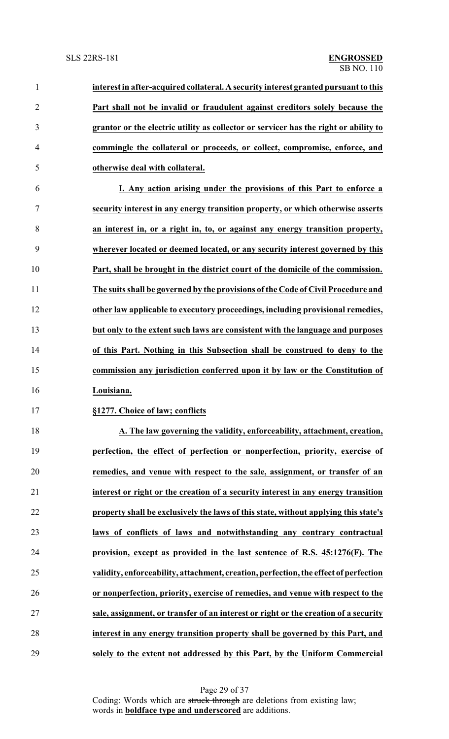| $\mathbf{1}$   | interest in after-acquired collateral. A security interest granted pursuant to this  |
|----------------|--------------------------------------------------------------------------------------|
| $\overline{2}$ | Part shall not be invalid or fraudulent against creditors solely because the         |
| 3              | grantor or the electric utility as collector or servicer has the right or ability to |
| 4              | commingle the collateral or proceeds, or collect, compromise, enforce, and           |
| 5              | otherwise deal with collateral.                                                      |
| 6              | I. Any action arising under the provisions of this Part to enforce a                 |
| $\tau$         | security interest in any energy transition property, or which otherwise asserts      |
| 8              | an interest in, or a right in, to, or against any energy transition property,        |
| 9              | wherever located or deemed located, or any security interest governed by this        |
| 10             | Part, shall be brought in the district court of the domicile of the commission.      |
| 11             | The suits shall be governed by the provisions of the Code of Civil Procedure and     |
| 12             | other law applicable to executory proceedings, including provisional remedies,       |
| 13             | but only to the extent such laws are consistent with the language and purposes       |
| 14             | of this Part. Nothing in this Subsection shall be construed to deny to the           |
| 15             | commission any jurisdiction conferred upon it by law or the Constitution of          |
| 16             | Louisiana.                                                                           |
| 17             | §1277. Choice of law; conflicts                                                      |
| 18             | A. The law governing the validity, enforceability, attachment, creation,             |
| 19             | perfection, the effect of perfection or nonperfection, priority, exercise of         |
| 20             | remedies, and venue with respect to the sale, assignment, or transfer of an          |
| 21             | interest or right or the creation of a security interest in any energy transition    |
| 22             | property shall be exclusively the laws of this state, without applying this state's  |
| 23             | laws of conflicts of laws and notwithstanding any contrary contractual               |
| 24             | provision, except as provided in the last sentence of R.S. 45:1276(F). The           |
| 25             | validity, enforceability, attachment, creation, perfection, the effect of perfection |
| 26             | or nonperfection, priority, exercise of remedies, and venue with respect to the      |
| 27             | sale, assignment, or transfer of an interest or right or the creation of a security  |
| 28             | interest in any energy transition property shall be governed by this Part, and       |
|                |                                                                                      |

**solely to the extent not addressed by this Part, by the Uniform Commercial**

Page 29 of 37 Coding: Words which are struck through are deletions from existing law; words in **boldface type and underscored** are additions.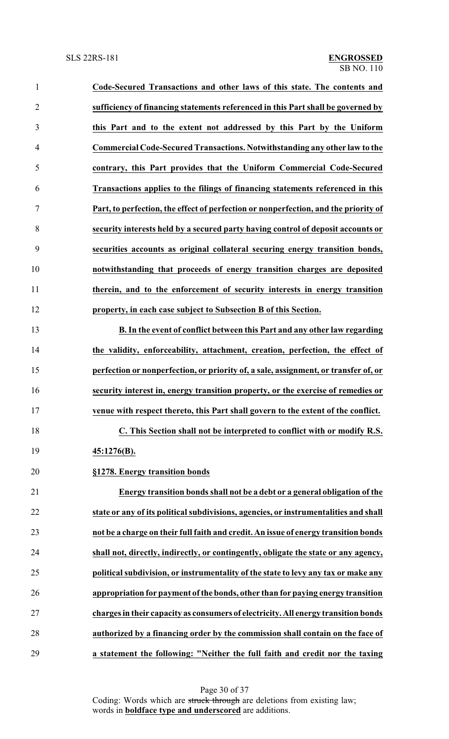**Code-Secured Transactions and other laws of this state. The contents and sufficiency of financing statements referenced in this Part shall be governed by this Part and to the extent not addressed by this Part by the Uniform Commercial Code-Secured Transactions. Notwithstanding any other law to the contrary, this Part provides that the Uniform Commercial Code-Secured Transactions applies to the filings of financing statements referenced in this Part, to perfection, the effect of perfection or nonperfection, and the priority of security interests held by a secured party having control of deposit accounts or securities accounts as original collateral securing energy transition bonds, notwithstanding that proceeds of energy transition charges are deposited therein, and to the enforcement of security interests in energy transition property, in each case subject to Subsection B of this Section. B. In the event of conflict between this Part and any other law regarding the validity, enforceability, attachment, creation, perfection, the effect of perfection or nonperfection, or priority of, a sale, assignment, or transfer of, or security interest in, energy transition property, or the exercise of remedies or venue with respect thereto, this Part shall govern to the extent of the conflict. C. This Section shall not be interpreted to conflict with or modify R.S. 45:1276(B). §1278. Energy transition bonds Energy transition bonds shall not be a debt or a general obligation of the state or any of its political subdivisions, agencies, or instrumentalities and shall not be a charge on their full faith and credit. An issue of energy transition bonds shall not, directly, indirectly, or contingently, obligate the state or any agency, political subdivision, or instrumentality of the state to levy any tax or make any appropriation for payment ofthe bonds, other than for paying energy transition**

 **charges in their capacity as consumers of electricity. All energy transition bonds authorized by a financing order by the commission shall contain on the face of a statement the following: "Neither the full faith and credit nor the taxing**

> Page 30 of 37 Coding: Words which are struck through are deletions from existing law; words in **boldface type and underscored** are additions.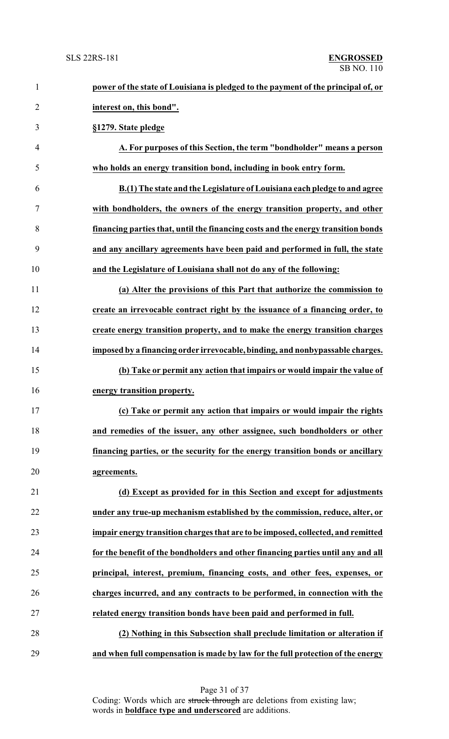| $\mathbf{1}$   | power of the state of Louisiana is pledged to the payment of the principal of, or |
|----------------|-----------------------------------------------------------------------------------|
| $\overline{2}$ | interest on, this bond".                                                          |
| 3              | §1279. State pledge                                                               |
| $\overline{4}$ | A. For purposes of this Section, the term "bondholder" means a person             |
| 5              | who holds an energy transition bond, including in book entry form.                |
| 6              | B.(1) The state and the Legislature of Louisiana each pledge to and agree         |
| $\tau$         | with bondholders, the owners of the energy transition property, and other         |
| 8              | financing parties that, until the financing costs and the energy transition bonds |
| 9              | and any ancillary agreements have been paid and performed in full, the state      |
| 10             | and the Legislature of Louisiana shall not do any of the following:               |
| 11             | (a) Alter the provisions of this Part that authorize the commission to            |
| 12             | create an irrevocable contract right by the issuance of a financing order, to     |
| 13             | create energy transition property, and to make the energy transition charges      |
| 14             | imposed by a financing order irrevocable, binding, and nonbypassable charges.     |
| 15             | (b) Take or permit any action that impairs or would impair the value of           |
| 16             | energy transition property.                                                       |
| 17             | (c) Take or permit any action that impairs or would impair the rights             |
| 18             | and remedies of the issuer, any other assignee, such bondholders or other         |
| 19             | financing parties, or the security for the energy transition bonds or ancillary   |
| 20             | agreements.                                                                       |
| 21             | (d) Except as provided for in this Section and except for adjustments             |
| 22             | under any true-up mechanism established by the commission, reduce, alter, or      |
| 23             | impair energy transition charges that are to be imposed, collected, and remitted  |
| 24             | for the benefit of the bondholders and other financing parties until any and all  |
| 25             | principal, interest, premium, financing costs, and other fees, expenses, or       |
| 26             | charges incurred, and any contracts to be performed, in connection with the       |
| 27             | related energy transition bonds have been paid and performed in full.             |
| 28             | (2) Nothing in this Subsection shall preclude limitation or alteration if         |
| 29             | and when full compensation is made by law for the full protection of the energy   |

Page 31 of 37 Coding: Words which are struck through are deletions from existing law; words in **boldface type and underscored** are additions.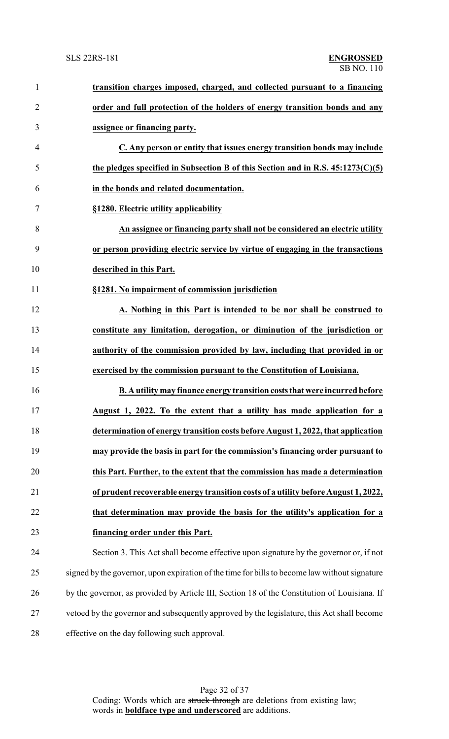| $\mathbf{1}$   | transition charges imposed, charged, and collected pursuant to a financing                    |
|----------------|-----------------------------------------------------------------------------------------------|
| $\overline{2}$ | order and full protection of the holders of energy transition bonds and any                   |
| 3              | assignee or financing party.                                                                  |
| 4              | C. Any person or entity that issues energy transition bonds may include                       |
| 5              | the pledges specified in Subsection B of this Section and in R.S. $45:1273(C)(5)$             |
| 6              | in the bonds and related documentation.                                                       |
| 7              | §1280. Electric utility applicability                                                         |
| 8              | An assignee or financing party shall not be considered an electric utility                    |
| 9              | or person providing electric service by virtue of engaging in the transactions                |
| 10             | described in this Part.                                                                       |
| 11             | §1281. No impairment of commission jurisdiction                                               |
| 12             | A. Nothing in this Part is intended to be nor shall be construed to                           |
| 13             | constitute any limitation, derogation, or diminution of the jurisdiction or                   |
| 14             | authority of the commission provided by law, including that provided in or                    |
| 15             | exercised by the commission pursuant to the Constitution of Louisiana.                        |
| 16             | B. A utility may finance energy transition costs that were incurred before                    |
| 17             | August 1, 2022. To the extent that a utility has made application for a                       |
| 18             | determination of energy transition costs before August 1, 2022, that application              |
| 19             | may provide the basis in part for the commission's financing order pursuant to                |
| 20             | this Part. Further, to the extent that the commission has made a determination                |
| 21             | of prudent recoverable energy transition costs of a utility before August 1, 2022,            |
| 22             | that determination may provide the basis for the utility's application for a                  |
| 23             | financing order under this Part.                                                              |
| 24             | Section 3. This Act shall become effective upon signature by the governor or, if not          |
| 25             | signed by the governor, upon expiration of the time for bills to become law without signature |
| 26             | by the governor, as provided by Article III, Section 18 of the Constitution of Louisiana. If  |
| 27             | vetoed by the governor and subsequently approved by the legislature, this Act shall become    |
| 28             | effective on the day following such approval.                                                 |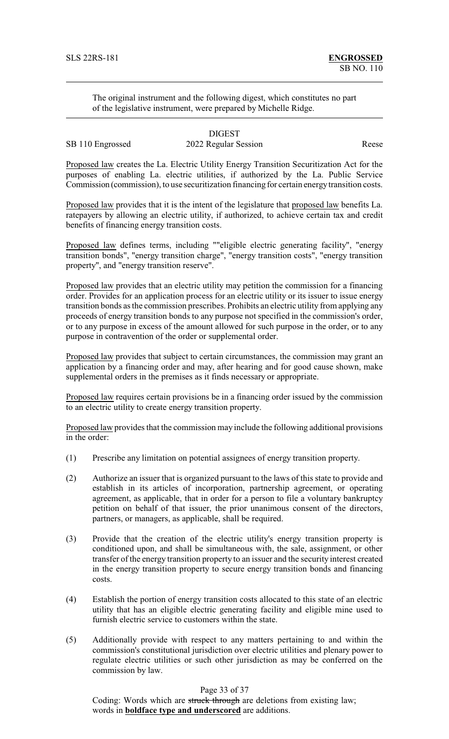The original instrument and the following digest, which constitutes no part of the legislative instrument, were prepared by Michelle Ridge.

## DIGEST SB 110 Engrossed 2022 Regular Session Reese

Proposed law creates the La. Electric Utility Energy Transition Securitization Act for the purposes of enabling La. electric utilities, if authorized by the La. Public Service Commission (commission), to use securitization financing for certain energytransition costs.

Proposed law provides that it is the intent of the legislature that proposed law benefits La. ratepayers by allowing an electric utility, if authorized, to achieve certain tax and credit benefits of financing energy transition costs.

Proposed law defines terms, including ""eligible electric generating facility", "energy transition bonds", "energy transition charge", "energy transition costs", "energy transition property", and "energy transition reserve".

Proposed law provides that an electric utility may petition the commission for a financing order. Provides for an application process for an electric utility or its issuer to issue energy transition bonds as the commission prescribes. Prohibits an electric utility from applying any proceeds of energy transition bonds to any purpose not specified in the commission's order, or to any purpose in excess of the amount allowed for such purpose in the order, or to any purpose in contravention of the order or supplemental order.

Proposed law provides that subject to certain circumstances, the commission may grant an application by a financing order and may, after hearing and for good cause shown, make supplemental orders in the premises as it finds necessary or appropriate.

Proposed law requires certain provisions be in a financing order issued by the commission to an electric utility to create energy transition property.

Proposed law provides that the commission may include the following additional provisions in the order:

- (1) Prescribe any limitation on potential assignees of energy transition property.
- (2) Authorize an issuer that is organized pursuant to the laws of this state to provide and establish in its articles of incorporation, partnership agreement, or operating agreement, as applicable, that in order for a person to file a voluntary bankruptcy petition on behalf of that issuer, the prior unanimous consent of the directors, partners, or managers, as applicable, shall be required.
- (3) Provide that the creation of the electric utility's energy transition property is conditioned upon, and shall be simultaneous with, the sale, assignment, or other transfer of the energy transition property to an issuer and the security interest created in the energy transition property to secure energy transition bonds and financing costs.
- (4) Establish the portion of energy transition costs allocated to this state of an electric utility that has an eligible electric generating facility and eligible mine used to furnish electric service to customers within the state.
- (5) Additionally provide with respect to any matters pertaining to and within the commission's constitutional jurisdiction over electric utilities and plenary power to regulate electric utilities or such other jurisdiction as may be conferred on the commission by law.

Page 33 of 37

Coding: Words which are struck through are deletions from existing law; words in **boldface type and underscored** are additions.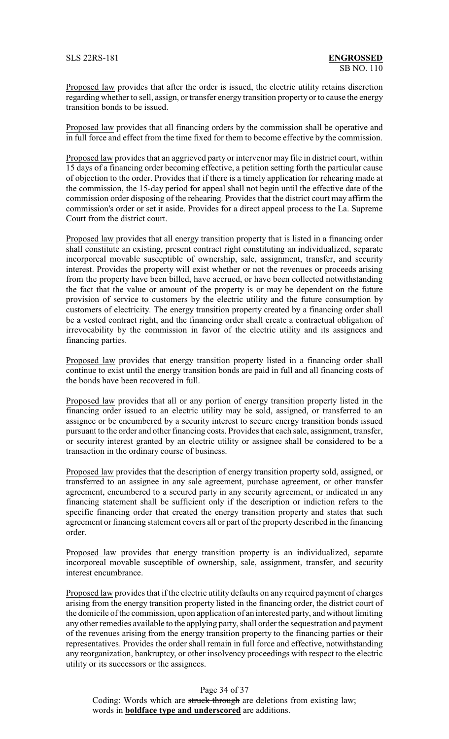Proposed law provides that after the order is issued, the electric utility retains discretion regarding whether to sell, assign, or transfer energy transition property or to cause the energy transition bonds to be issued.

Proposed law provides that all financing orders by the commission shall be operative and in full force and effect from the time fixed for them to become effective by the commission.

Proposed law provides that an aggrieved party or intervenor may file in district court, within 15 days of a financing order becoming effective, a petition setting forth the particular cause of objection to the order. Provides that if there is a timely application for rehearing made at the commission, the 15-day period for appeal shall not begin until the effective date of the commission order disposing of the rehearing. Provides that the district court may affirm the commission's order or set it aside. Provides for a direct appeal process to the La. Supreme Court from the district court.

Proposed law provides that all energy transition property that is listed in a financing order shall constitute an existing, present contract right constituting an individualized, separate incorporeal movable susceptible of ownership, sale, assignment, transfer, and security interest. Provides the property will exist whether or not the revenues or proceeds arising from the property have been billed, have accrued, or have been collected notwithstanding the fact that the value or amount of the property is or may be dependent on the future provision of service to customers by the electric utility and the future consumption by customers of electricity. The energy transition property created by a financing order shall be a vested contract right, and the financing order shall create a contractual obligation of irrevocability by the commission in favor of the electric utility and its assignees and financing parties.

Proposed law provides that energy transition property listed in a financing order shall continue to exist until the energy transition bonds are paid in full and all financing costs of the bonds have been recovered in full.

Proposed law provides that all or any portion of energy transition property listed in the financing order issued to an electric utility may be sold, assigned, or transferred to an assignee or be encumbered by a security interest to secure energy transition bonds issued pursuant to the order and other financing costs. Provides that each sale, assignment, transfer, or security interest granted by an electric utility or assignee shall be considered to be a transaction in the ordinary course of business.

Proposed law provides that the description of energy transition property sold, assigned, or transferred to an assignee in any sale agreement, purchase agreement, or other transfer agreement, encumbered to a secured party in any security agreement, or indicated in any financing statement shall be sufficient only if the description or indiction refers to the specific financing order that created the energy transition property and states that such agreement or financing statement covers all or part of the property described in the financing order.

Proposed law provides that energy transition property is an individualized, separate incorporeal movable susceptible of ownership, sale, assignment, transfer, and security interest encumbrance.

Proposed law provides that if the electric utility defaults on any required payment of charges arising from the energy transition property listed in the financing order, the district court of the domicile of the commission, upon application of an interested party, and without limiting any other remedies available to the applying party, shall order the sequestration and payment of the revenues arising from the energy transition property to the financing parties or their representatives. Provides the order shall remain in full force and effective, notwithstanding any reorganization, bankruptcy, or other insolvency proceedings with respect to the electric utility or its successors or the assignees.

### Page 34 of 37

Coding: Words which are struck through are deletions from existing law; words in **boldface type and underscored** are additions.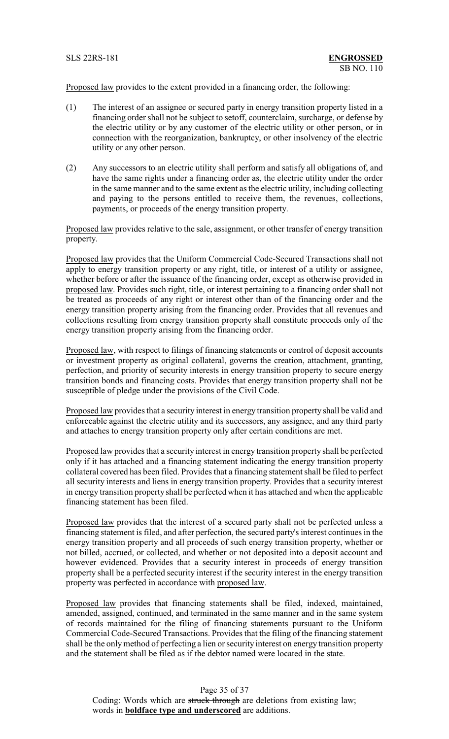Proposed law provides to the extent provided in a financing order, the following:

- (1) The interest of an assignee or secured party in energy transition property listed in a financing order shall not be subject to setoff, counterclaim, surcharge, or defense by the electric utility or by any customer of the electric utility or other person, or in connection with the reorganization, bankruptcy, or other insolvency of the electric utility or any other person.
- (2) Any successors to an electric utility shall perform and satisfy all obligations of, and have the same rights under a financing order as, the electric utility under the order in the same manner and to the same extent as the electric utility, including collecting and paying to the persons entitled to receive them, the revenues, collections, payments, or proceeds of the energy transition property.

Proposed law provides relative to the sale, assignment, or other transfer of energy transition property.

Proposed law provides that the Uniform Commercial Code-Secured Transactions shall not apply to energy transition property or any right, title, or interest of a utility or assignee, whether before or after the issuance of the financing order, except as otherwise provided in proposed law. Provides such right, title, or interest pertaining to a financing order shall not be treated as proceeds of any right or interest other than of the financing order and the energy transition property arising from the financing order. Provides that all revenues and collections resulting from energy transition property shall constitute proceeds only of the energy transition property arising from the financing order.

Proposed law, with respect to filings of financing statements or control of deposit accounts or investment property as original collateral, governs the creation, attachment, granting, perfection, and priority of security interests in energy transition property to secure energy transition bonds and financing costs. Provides that energy transition property shall not be susceptible of pledge under the provisions of the Civil Code.

Proposed law provides that a security interest in energy transition property shall be valid and enforceable against the electric utility and its successors, any assignee, and any third party and attaches to energy transition property only after certain conditions are met.

Proposed law provides that a security interest in energy transition property shall be perfected only if it has attached and a financing statement indicating the energy transition property collateral covered has been filed. Provides that a financing statement shall be filed to perfect all security interests and liens in energy transition property. Provides that a security interest in energy transition property shall be perfected when it has attached and when the applicable financing statement has been filed.

Proposed law provides that the interest of a secured party shall not be perfected unless a financing statement is filed, and after perfection, the secured party's interest continues in the energy transition property and all proceeds of such energy transition property, whether or not billed, accrued, or collected, and whether or not deposited into a deposit account and however evidenced. Provides that a security interest in proceeds of energy transition property shall be a perfected security interest if the security interest in the energy transition property was perfected in accordance with proposed law.

Proposed law provides that financing statements shall be filed, indexed, maintained, amended, assigned, continued, and terminated in the same manner and in the same system of records maintained for the filing of financing statements pursuant to the Uniform Commercial Code-Secured Transactions. Provides that the filing of the financing statement shall be the onlymethod of perfecting a lien or security interest on energy transition property and the statement shall be filed as if the debtor named were located in the state.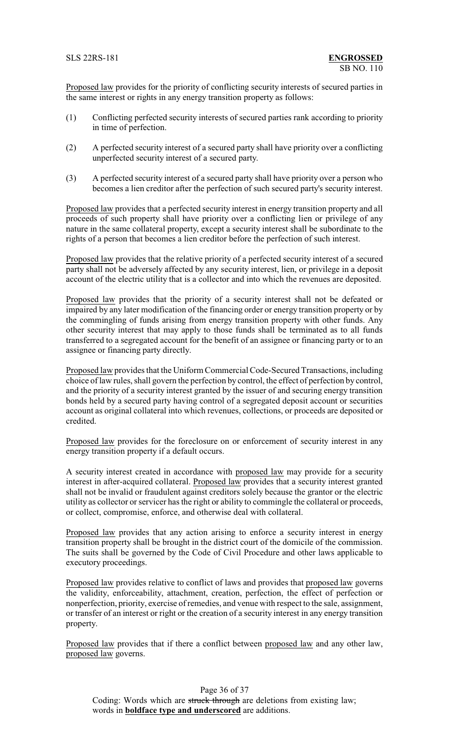Proposed law provides for the priority of conflicting security interests of secured parties in the same interest or rights in any energy transition property as follows:

- (1) Conflicting perfected security interests of secured parties rank according to priority in time of perfection.
- (2) A perfected security interest of a secured party shall have priority over a conflicting unperfected security interest of a secured party.
- (3) A perfected security interest of a secured party shall have priority over a person who becomes a lien creditor after the perfection of such secured party's security interest.

Proposed law provides that a perfected security interest in energy transition property and all proceeds of such property shall have priority over a conflicting lien or privilege of any nature in the same collateral property, except a security interest shall be subordinate to the rights of a person that becomes a lien creditor before the perfection of such interest.

Proposed law provides that the relative priority of a perfected security interest of a secured party shall not be adversely affected by any security interest, lien, or privilege in a deposit account of the electric utility that is a collector and into which the revenues are deposited.

Proposed law provides that the priority of a security interest shall not be defeated or impaired by any later modification of the financing order or energy transition property or by the commingling of funds arising from energy transition property with other funds. Any other security interest that may apply to those funds shall be terminated as to all funds transferred to a segregated account for the benefit of an assignee or financing party or to an assignee or financing party directly.

Proposed law provides that the Uniform Commercial Code-Secured Transactions, including choice of law rules, shall govern the perfection by control, the effect of perfection by control, and the priority of a security interest granted by the issuer of and securing energy transition bonds held by a secured party having control of a segregated deposit account or securities account as original collateral into which revenues, collections, or proceeds are deposited or credited.

Proposed law provides for the foreclosure on or enforcement of security interest in any energy transition property if a default occurs.

A security interest created in accordance with proposed law may provide for a security interest in after-acquired collateral. Proposed law provides that a security interest granted shall not be invalid or fraudulent against creditors solely because the grantor or the electric utility as collector or servicer has the right or ability to commingle the collateral or proceeds, or collect, compromise, enforce, and otherwise deal with collateral.

Proposed law provides that any action arising to enforce a security interest in energy transition property shall be brought in the district court of the domicile of the commission. The suits shall be governed by the Code of Civil Procedure and other laws applicable to executory proceedings.

Proposed law provides relative to conflict of laws and provides that proposed law governs the validity, enforceability, attachment, creation, perfection, the effect of perfection or nonperfection, priority, exercise of remedies, and venue with respect to the sale, assignment, or transfer of an interest or right or the creation of a security interest in any energy transition property.

Proposed law provides that if there a conflict between proposed law and any other law, proposed law governs.

Page 36 of 37 Coding: Words which are struck through are deletions from existing law; words in **boldface type and underscored** are additions.